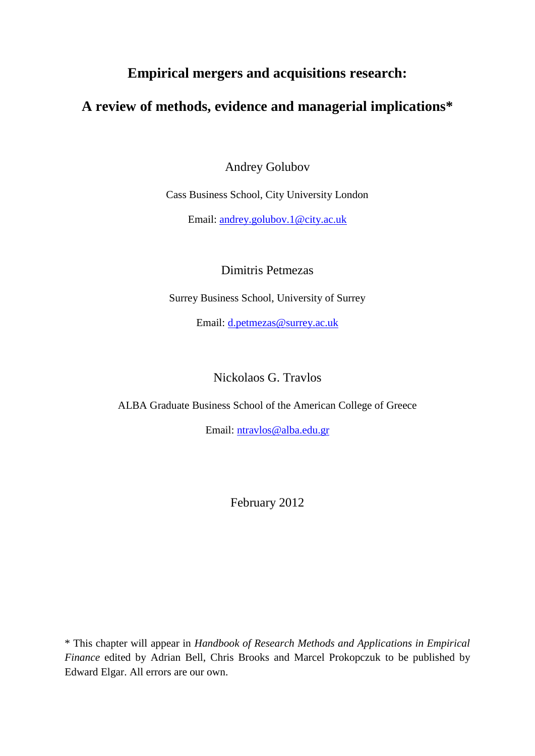# **Empirical mergers and acquisitions research:**

# **A review of methods, evidence and managerial implications\***

Andrey Golubov

Cass Business School, City University London

Email: [andrey.golubov.1@city.ac.uk](mailto:andrey.golubov.1@city.ac.uk)

Dimitris Petmezas

Surrey Business School, University of Surrey

Email: [d.petmezas@surrey.ac.uk](mailto:d.petmezas@surrey.ac.uk)

Nickolaos G. Travlos

ALBA Graduate Business School of the American College of Greece

Email: [ntravlos@alba.edu.gr](mailto:ntravlos@alba.edu.gr)

February 2012

\* This chapter will appear in *Handbook of Research Methods and Applications in Empirical Finance* edited by Adrian Bell, Chris Brooks and Marcel Prokopczuk to be published by Edward Elgar. All errors are our own.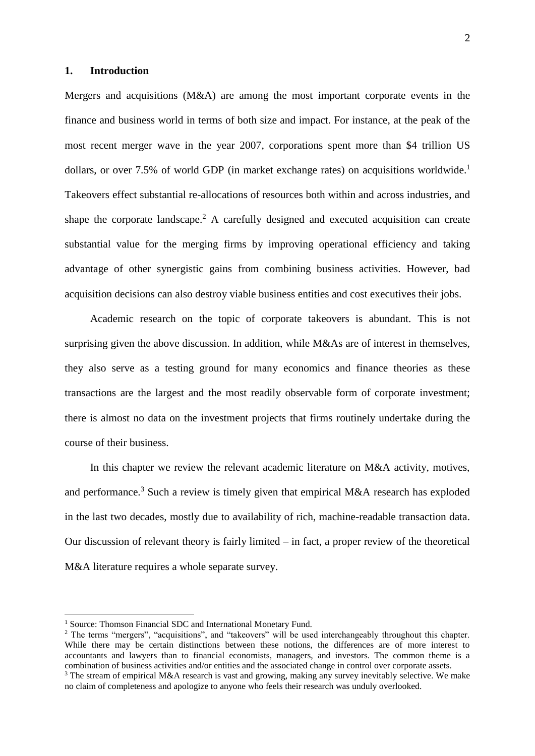### **1. Introduction**

Mergers and acquisitions  $(M&A)$  are among the most important corporate events in the finance and business world in terms of both size and impact. For instance, at the peak of the most recent merger wave in the year 2007, corporations spent more than \$4 trillion US dollars, or over 7.5% of world GDP (in market exchange rates) on acquisitions worldwide.<sup>1</sup> Takeovers effect substantial re-allocations of resources both within and across industries, and shape the corporate landscape.<sup>2</sup> A carefully designed and executed acquisition can create substantial value for the merging firms by improving operational efficiency and taking advantage of other synergistic gains from combining business activities. However, bad acquisition decisions can also destroy viable business entities and cost executives their jobs.

Academic research on the topic of corporate takeovers is abundant. This is not surprising given the above discussion. In addition, while M&As are of interest in themselves, they also serve as a testing ground for many economics and finance theories as these transactions are the largest and the most readily observable form of corporate investment; there is almost no data on the investment projects that firms routinely undertake during the course of their business.

In this chapter we review the relevant academic literature on M&A activity, motives, and performance.<sup>3</sup> Such a review is timely given that empirical M&A research has exploded in the last two decades, mostly due to availability of rich, machine-readable transaction data. Our discussion of relevant theory is fairly limited – in fact, a proper review of the theoretical M&A literature requires a whole separate survey.

1

<sup>&</sup>lt;sup>1</sup> Source: Thomson Financial SDC and International Monetary Fund.

<sup>&</sup>lt;sup>2</sup> The terms "mergers", "acquisitions", and "takeovers" will be used interchangeably throughout this chapter. While there may be certain distinctions between these notions, the differences are of more interest to accountants and lawyers than to financial economists, managers, and investors. The common theme is a combination of business activities and/or entities and the associated change in control over corporate assets.

<sup>&</sup>lt;sup>3</sup> The stream of empirical M&A research is vast and growing, making any survey inevitably selective. We make no claim of completeness and apologize to anyone who feels their research was unduly overlooked.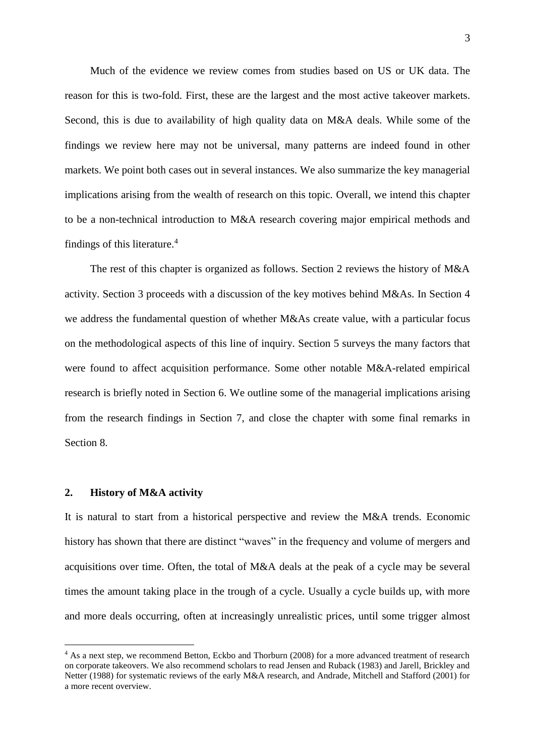Much of the evidence we review comes from studies based on US or UK data. The reason for this is two-fold. First, these are the largest and the most active takeover markets. Second, this is due to availability of high quality data on M&A deals. While some of the findings we review here may not be universal, many patterns are indeed found in other markets. We point both cases out in several instances. We also summarize the key managerial implications arising from the wealth of research on this topic. Overall, we intend this chapter to be a non-technical introduction to M&A research covering major empirical methods and findings of this literature.<sup>4</sup>

The rest of this chapter is organized as follows. Section 2 reviews the history of M&A activity. Section 3 proceeds with a discussion of the key motives behind M&As. In Section 4 we address the fundamental question of whether M&As create value, with a particular focus on the methodological aspects of this line of inquiry. Section 5 surveys the many factors that were found to affect acquisition performance. Some other notable M&A-related empirical research is briefly noted in Section 6. We outline some of the managerial implications arising from the research findings in Section 7, and close the chapter with some final remarks in Section 8.

#### **2. History of M&A activity**

1

It is natural to start from a historical perspective and review the M&A trends. Economic history has shown that there are distinct "waves" in the frequency and volume of mergers and acquisitions over time. Often, the total of M&A deals at the peak of a cycle may be several times the amount taking place in the trough of a cycle. Usually a cycle builds up, with more and more deals occurring, often at increasingly unrealistic prices, until some trigger almost

<sup>&</sup>lt;sup>4</sup> As a next step, we recommend Betton, Eckbo and Thorburn (2008) for a more advanced treatment of research on corporate takeovers. We also recommend scholars to read Jensen and Ruback (1983) and Jarell, Brickley and Netter (1988) for systematic reviews of the early M&A research, and Andrade, Mitchell and Stafford (2001) for a more recent overview.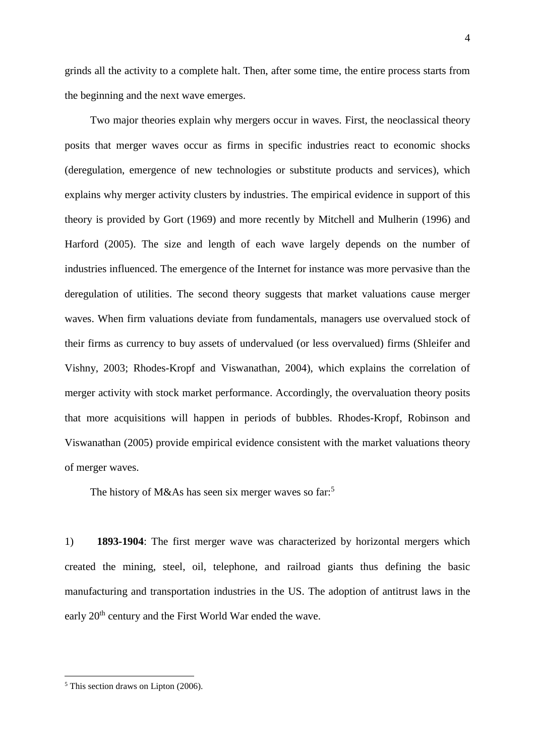grinds all the activity to a complete halt. Then, after some time, the entire process starts from the beginning and the next wave emerges.

Two major theories explain why mergers occur in waves. First, the neoclassical theory posits that merger waves occur as firms in specific industries react to economic shocks (deregulation, emergence of new technologies or substitute products and services), which explains why merger activity clusters by industries. The empirical evidence in support of this theory is provided by Gort (1969) and more recently by Mitchell and Mulherin (1996) and Harford (2005). The size and length of each wave largely depends on the number of industries influenced. The emergence of the Internet for instance was more pervasive than the deregulation of utilities. The second theory suggests that market valuations cause merger waves. When firm valuations deviate from fundamentals, managers use overvalued stock of their firms as currency to buy assets of undervalued (or less overvalued) firms (Shleifer and Vishny, 2003; Rhodes-Kropf and Viswanathan, 2004), which explains the correlation of merger activity with stock market performance. Accordingly, the overvaluation theory posits that more acquisitions will happen in periods of bubbles. Rhodes-Kropf, Robinson and Viswanathan (2005) provide empirical evidence consistent with the market valuations theory of merger waves.

The history of M&As has seen six merger waves so far:<sup>5</sup>

1) **1893-1904**: The first merger wave was characterized by horizontal mergers which created the mining, steel, oil, telephone, and railroad giants thus defining the basic manufacturing and transportation industries in the US. The adoption of antitrust laws in the early 20<sup>th</sup> century and the First World War ended the wave.

1

<sup>5</sup> This section draws on Lipton (2006).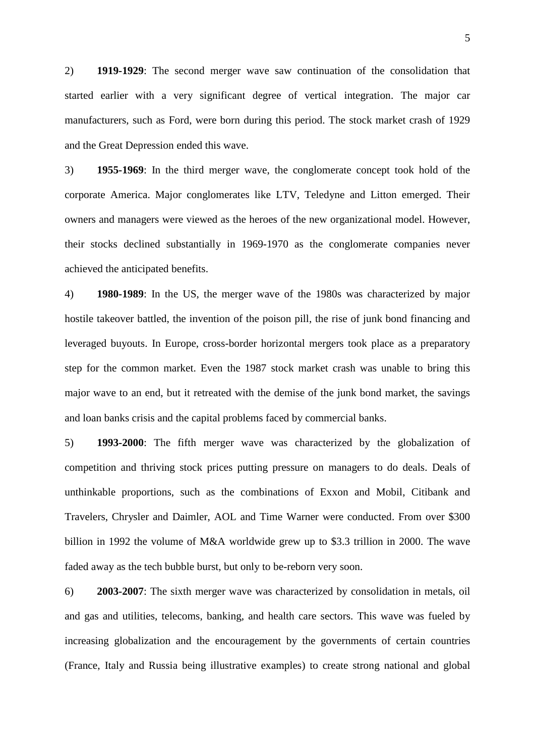2) **1919-1929**: The second merger wave saw continuation of the consolidation that started earlier with a very significant degree of vertical integration. The major car manufacturers, such as Ford, were born during this period. The stock market crash of 1929 and the Great Depression ended this wave.

3) **1955-1969**: In the third merger wave, the conglomerate concept took hold of the corporate America. Major conglomerates like LTV, Teledyne and Litton emerged. Their owners and managers were viewed as the heroes of the new organizational model. However, their stocks declined substantially in 1969-1970 as the conglomerate companies never achieved the anticipated benefits.

4) **1980-1989**: In the US, the merger wave of the 1980s was characterized by major hostile takeover battled, the invention of the poison pill, the rise of junk bond financing and leveraged buyouts. In Europe, cross-border horizontal mergers took place as a preparatory step for the common market. Even the 1987 stock market crash was unable to bring this major wave to an end, but it retreated with the demise of the junk bond market, the savings and loan banks crisis and the capital problems faced by commercial banks.

5) **1993-2000**: The fifth merger wave was characterized by the globalization of competition and thriving stock prices putting pressure on managers to do deals. Deals of unthinkable proportions, such as the combinations of Exxon and Mobil, Citibank and Travelers, Chrysler and Daimler, AOL and Time Warner were conducted. From over \$300 billion in 1992 the volume of M&A worldwide grew up to \$3.3 trillion in 2000. The wave faded away as the tech bubble burst, but only to be-reborn very soon.

6) **2003-2007**: The sixth merger wave was characterized by consolidation in metals, oil and gas and utilities, telecoms, banking, and health care sectors. This wave was fueled by increasing globalization and the encouragement by the governments of certain countries (France, Italy and Russia being illustrative examples) to create strong national and global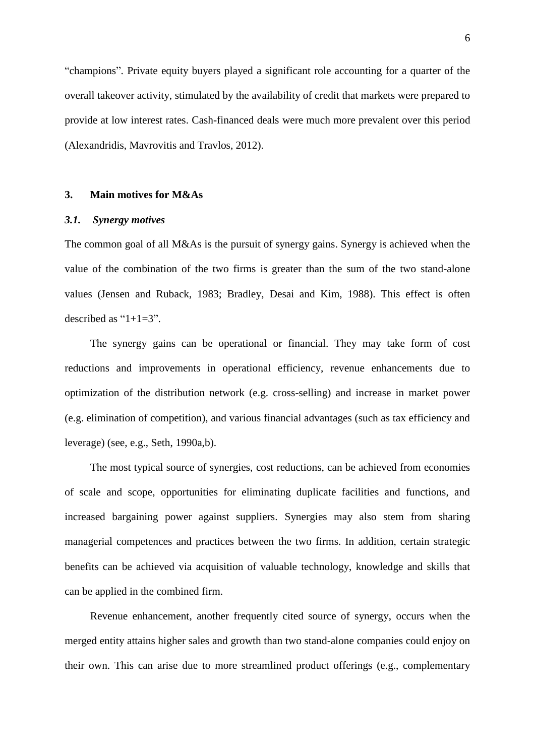"champions". Private equity buyers played a significant role accounting for a quarter of the overall takeover activity, stimulated by the availability of credit that markets were prepared to provide at low interest rates. Cash-financed deals were much more prevalent over this period (Alexandridis, Mavrovitis and Travlos, 2012).

# **3. Main motives for M&As**

## *3.1. Synergy motives*

The common goal of all M&As is the pursuit of synergy gains. Synergy is achieved when the value of the combination of the two firms is greater than the sum of the two stand-alone values (Jensen and Ruback, 1983; Bradley, Desai and Kim, 1988). This effect is often described as " $1+1=3$ ".

The synergy gains can be operational or financial. They may take form of cost reductions and improvements in operational efficiency, revenue enhancements due to optimization of the distribution network (e.g. cross-selling) and increase in market power (e.g. elimination of competition), and various financial advantages (such as tax efficiency and leverage) (see, e.g., Seth, 1990a,b).

The most typical source of synergies, cost reductions, can be achieved from economies of scale and scope, opportunities for eliminating duplicate facilities and functions, and increased bargaining power against suppliers. Synergies may also stem from sharing managerial competences and practices between the two firms. In addition, certain strategic benefits can be achieved via acquisition of valuable technology, knowledge and skills that can be applied in the combined firm.

Revenue enhancement, another frequently cited source of synergy, occurs when the merged entity attains higher sales and growth than two stand-alone companies could enjoy on their own. This can arise due to more streamlined product offerings (e.g., complementary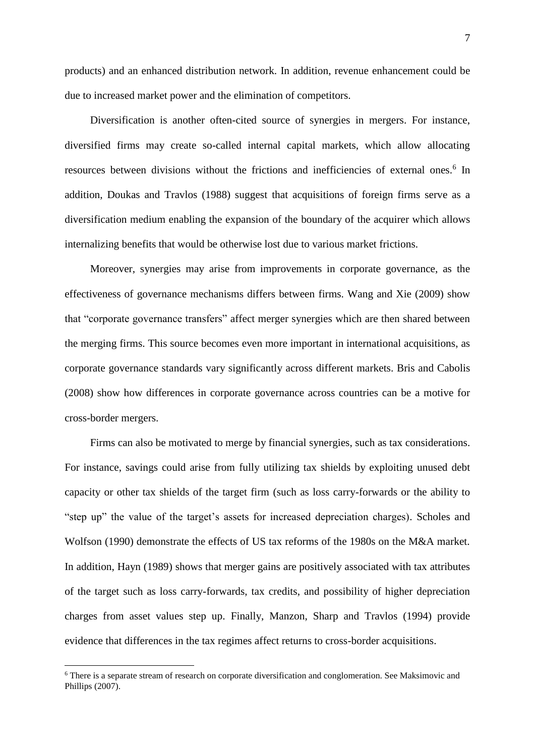products) and an enhanced distribution network. In addition, revenue enhancement could be due to increased market power and the elimination of competitors.

Diversification is another often-cited source of synergies in mergers. For instance, diversified firms may create so-called internal capital markets, which allow allocating resources between divisions without the frictions and inefficiencies of external ones.<sup>6</sup> In addition, Doukas and Travlos (1988) suggest that acquisitions of foreign firms serve as a diversification medium enabling the expansion of the boundary of the acquirer which allows internalizing benefits that would be otherwise lost due to various market frictions.

Moreover, synergies may arise from improvements in corporate governance, as the effectiveness of governance mechanisms differs between firms. Wang and Xie (2009) show that "corporate governance transfers" affect merger synergies which are then shared between the merging firms. This source becomes even more important in international acquisitions, as corporate governance standards vary significantly across different markets. Bris and Cabolis (2008) show how differences in corporate governance across countries can be a motive for cross-border mergers.

Firms can also be motivated to merge by financial synergies, such as tax considerations. For instance, savings could arise from fully utilizing tax shields by exploiting unused debt capacity or other tax shields of the target firm (such as loss carry-forwards or the ability to "step up" the value of the target's assets for increased depreciation charges). Scholes and Wolfson (1990) demonstrate the effects of US tax reforms of the 1980s on the M&A market. In addition, Hayn (1989) shows that merger gains are positively associated with tax attributes of the target such as loss carry-forwards, tax credits, and possibility of higher depreciation charges from asset values step up. Finally, Manzon, Sharp and Travlos (1994) provide evidence that differences in the tax regimes affect returns to cross-border acquisitions.

<u>.</u>

<sup>6</sup> There is a separate stream of research on corporate diversification and conglomeration. See Maksimovic and Phillips (2007).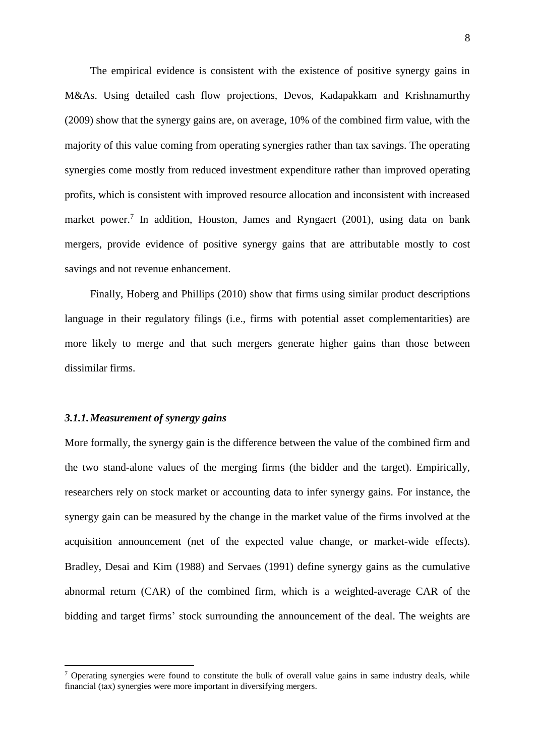The empirical evidence is consistent with the existence of positive synergy gains in M&As. Using detailed cash flow projections, Devos, Kadapakkam and Krishnamurthy (2009) show that the synergy gains are, on average, 10% of the combined firm value, with the majority of this value coming from operating synergies rather than tax savings. The operating synergies come mostly from reduced investment expenditure rather than improved operating profits, which is consistent with improved resource allocation and inconsistent with increased market power.<sup>7</sup> In addition, Houston, James and Ryngaert (2001), using data on bank mergers, provide evidence of positive synergy gains that are attributable mostly to cost savings and not revenue enhancement.

Finally, Hoberg and Phillips (2010) show that firms using similar product descriptions language in their regulatory filings (i.e., firms with potential asset complementarities) are more likely to merge and that such mergers generate higher gains than those between dissimilar firms.

#### *3.1.1.Measurement of synergy gains*

<u>.</u>

More formally, the synergy gain is the difference between the value of the combined firm and the two stand-alone values of the merging firms (the bidder and the target). Empirically, researchers rely on stock market or accounting data to infer synergy gains. For instance, the synergy gain can be measured by the change in the market value of the firms involved at the acquisition announcement (net of the expected value change, or market-wide effects). Bradley, Desai and Kim (1988) and Servaes (1991) define synergy gains as the cumulative abnormal return (CAR) of the combined firm, which is a weighted-average CAR of the bidding and target firms' stock surrounding the announcement of the deal. The weights are

 $\frac{7}{1}$  Operating synergies were found to constitute the bulk of overall value gains in same industry deals, while financial (tax) synergies were more important in diversifying mergers.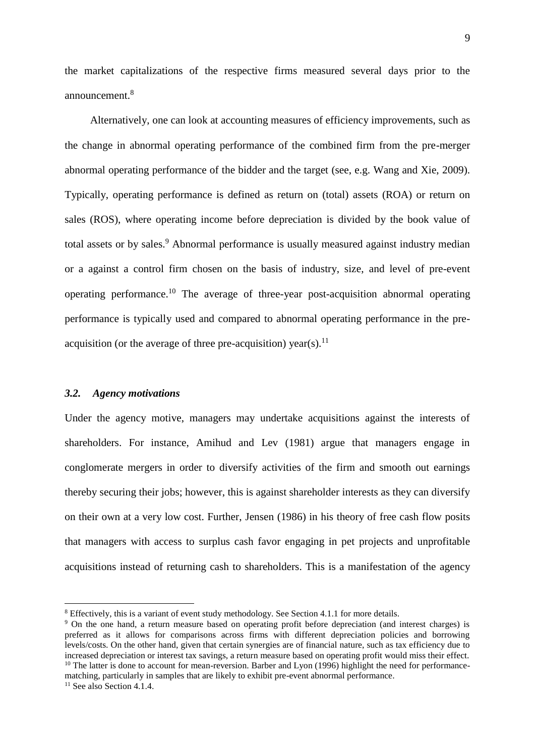the market capitalizations of the respective firms measured several days prior to the announcement $8$ 

Alternatively, one can look at accounting measures of efficiency improvements, such as the change in abnormal operating performance of the combined firm from the pre-merger abnormal operating performance of the bidder and the target (see, e.g. Wang and Xie, 2009). Typically, operating performance is defined as return on (total) assets (ROA) or return on sales (ROS), where operating income before depreciation is divided by the book value of total assets or by sales.<sup>9</sup> Abnormal performance is usually measured against industry median or a against a control firm chosen on the basis of industry, size, and level of pre-event operating performance.<sup>10</sup> The average of three-year post-acquisition abnormal operating performance is typically used and compared to abnormal operating performance in the preacquisition (or the average of three pre-acquisition) year(s).<sup>11</sup>

#### *3.2. Agency motivations*

Under the agency motive, managers may undertake acquisitions against the interests of shareholders. For instance, Amihud and Lev (1981) argue that managers engage in conglomerate mergers in order to diversify activities of the firm and smooth out earnings thereby securing their jobs; however, this is against shareholder interests as they can diversify on their own at a very low cost. Further, Jensen (1986) in his theory of free cash flow posits that managers with access to surplus cash favor engaging in pet projects and unprofitable acquisitions instead of returning cash to shareholders. This is a manifestation of the agency

1

<sup>&</sup>lt;sup>8</sup> Effectively, this is a variant of event study methodology. See Section 4.1.1 for more details.

<sup>9</sup> On the one hand, a return measure based on operating profit before depreciation (and interest charges) is preferred as it allows for comparisons across firms with different depreciation policies and borrowing levels/costs. On the other hand, given that certain synergies are of financial nature, such as tax efficiency due to increased depreciation or interest tax savings, a return measure based on operating profit would miss their effect. <sup>10</sup> The latter is done to account for mean-reversion. Barber and Lyon (1996) highlight the need for performance-

matching, particularly in samples that are likely to exhibit pre-event abnormal performance.

 $11$  See also Section 4.1.4.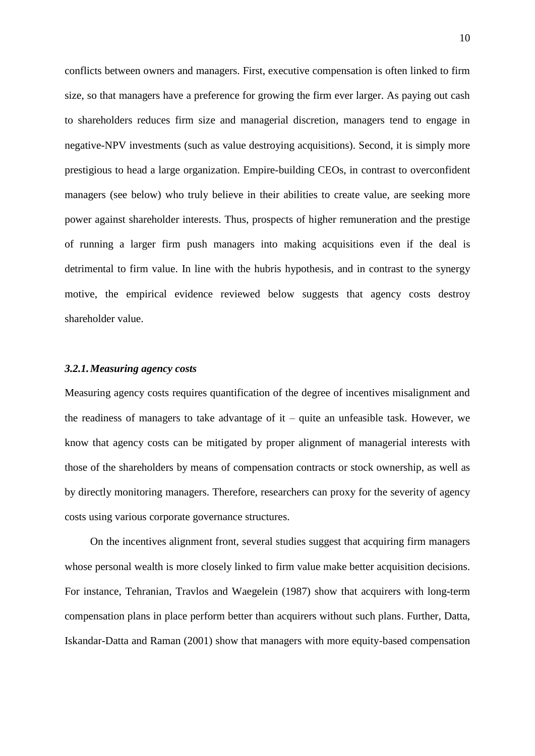conflicts between owners and managers. First, executive compensation is often linked to firm size, so that managers have a preference for growing the firm ever larger. As paying out cash to shareholders reduces firm size and managerial discretion, managers tend to engage in negative-NPV investments (such as value destroying acquisitions). Second, it is simply more prestigious to head a large organization. Empire-building CEOs, in contrast to overconfident managers (see below) who truly believe in their abilities to create value, are seeking more power against shareholder interests. Thus, prospects of higher remuneration and the prestige of running a larger firm push managers into making acquisitions even if the deal is detrimental to firm value. In line with the hubris hypothesis, and in contrast to the synergy motive, the empirical evidence reviewed below suggests that agency costs destroy shareholder value.

## *3.2.1.Measuring agency costs*

Measuring agency costs requires quantification of the degree of incentives misalignment and the readiness of managers to take advantage of  $it$  – quite an unfeasible task. However, we know that agency costs can be mitigated by proper alignment of managerial interests with those of the shareholders by means of compensation contracts or stock ownership, as well as by directly monitoring managers. Therefore, researchers can proxy for the severity of agency costs using various corporate governance structures.

On the incentives alignment front, several studies suggest that acquiring firm managers whose personal wealth is more closely linked to firm value make better acquisition decisions. For instance, Tehranian, Travlos and Waegelein (1987) show that acquirers with long-term compensation plans in place perform better than acquirers without such plans. Further, Datta, Iskandar-Datta and Raman (2001) show that managers with more equity-based compensation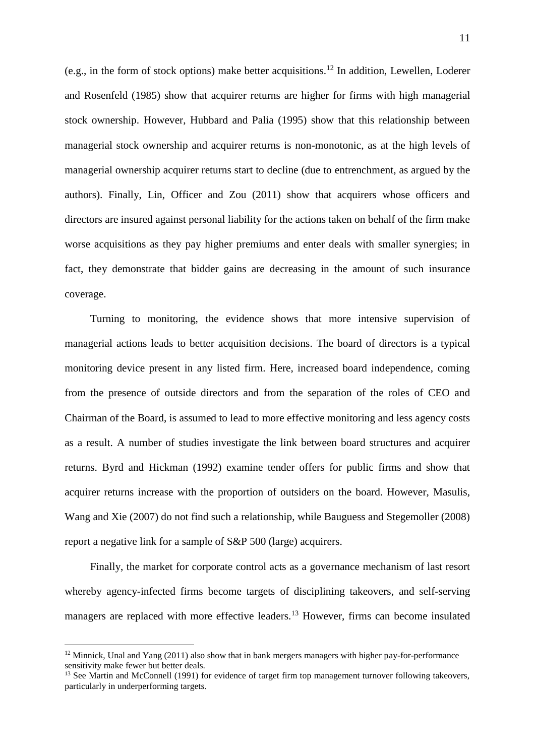(e.g., in the form of stock options) make better acquisitions.<sup>12</sup> In addition, Lewellen, Loderer and Rosenfeld (1985) show that acquirer returns are higher for firms with high managerial stock ownership. However, Hubbard and Palia (1995) show that this relationship between managerial stock ownership and acquirer returns is non-monotonic, as at the high levels of managerial ownership acquirer returns start to decline (due to entrenchment, as argued by the authors). Finally, Lin, Officer and Zou (2011) show that acquirers whose officers and directors are insured against personal liability for the actions taken on behalf of the firm make worse acquisitions as they pay higher premiums and enter deals with smaller synergies; in fact, they demonstrate that bidder gains are decreasing in the amount of such insurance coverage.

Turning to monitoring, the evidence shows that more intensive supervision of managerial actions leads to better acquisition decisions. The board of directors is a typical monitoring device present in any listed firm. Here, increased board independence, coming from the presence of outside directors and from the separation of the roles of CEO and Chairman of the Board, is assumed to lead to more effective monitoring and less agency costs as a result. A number of studies investigate the link between board structures and acquirer returns. Byrd and Hickman (1992) examine tender offers for public firms and show that acquirer returns increase with the proportion of outsiders on the board. However, Masulis, Wang and Xie (2007) do not find such a relationship, while Bauguess and Stegemoller (2008) report a negative link for a sample of S&P 500 (large) acquirers.

Finally, the market for corporate control acts as a governance mechanism of last resort whereby agency-infected firms become targets of disciplining takeovers, and self-serving managers are replaced with more effective leaders.<sup>13</sup> However, firms can become insulated

1

 $12$  Minnick, Unal and Yang (2011) also show that in bank mergers managers with higher pay-for-performance sensitivity make fewer but better deals.

<sup>&</sup>lt;sup>13</sup> See Martin and McConnell (1991) for evidence of target firm top management turnover following takeovers, particularly in underperforming targets.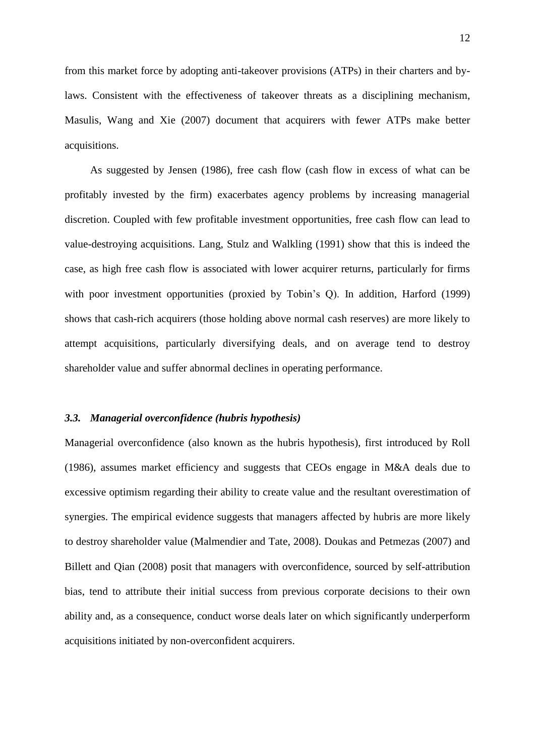from this market force by adopting anti-takeover provisions (ATPs) in their charters and bylaws. Consistent with the effectiveness of takeover threats as a disciplining mechanism, Masulis, Wang and Xie (2007) document that acquirers with fewer ATPs make better acquisitions.

As suggested by Jensen (1986), free cash flow (cash flow in excess of what can be profitably invested by the firm) exacerbates agency problems by increasing managerial discretion. Coupled with few profitable investment opportunities, free cash flow can lead to value-destroying acquisitions. Lang, Stulz and Walkling (1991) show that this is indeed the case, as high free cash flow is associated with lower acquirer returns, particularly for firms with poor investment opportunities (proxied by Tobin's O). In addition, Harford (1999) shows that cash-rich acquirers (those holding above normal cash reserves) are more likely to attempt acquisitions, particularly diversifying deals, and on average tend to destroy shareholder value and suffer abnormal declines in operating performance.

#### *3.3. Managerial overconfidence (hubris hypothesis)*

Managerial overconfidence (also known as the hubris hypothesis), first introduced by Roll (1986), assumes market efficiency and suggests that CEOs engage in M&A deals due to excessive optimism regarding their ability to create value and the resultant overestimation of synergies. The empirical evidence suggests that managers affected by hubris are more likely to destroy shareholder value (Malmendier and Tate, 2008). Doukas and Petmezas (2007) and Billett and Qian (2008) posit that managers with overconfidence, sourced by self-attribution bias, tend to attribute their initial success from previous corporate decisions to their own ability and, as a consequence, conduct worse deals later on which significantly underperform acquisitions initiated by non-overconfident acquirers.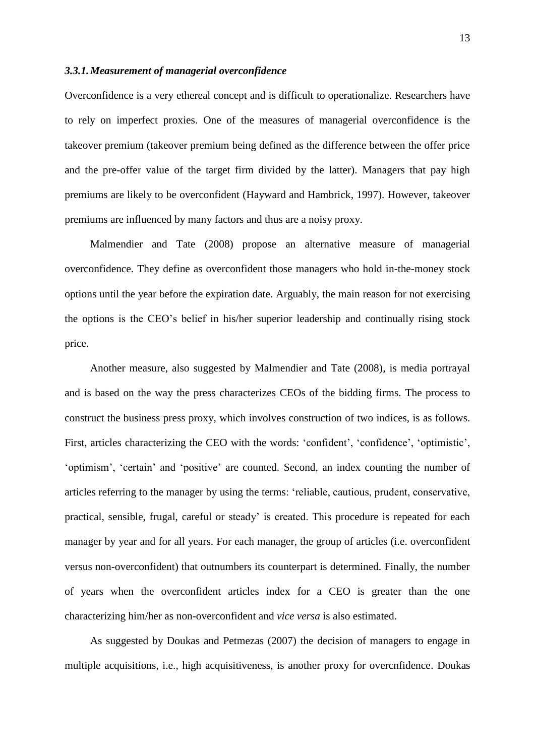#### *3.3.1.Measurement of managerial overconfidence*

Overconfidence is a very ethereal concept and is difficult to operationalize. Researchers have to rely on imperfect proxies. One of the measures of managerial overconfidence is the takeover premium (takeover premium being defined as the difference between the offer price and the pre-offer value of the target firm divided by the latter). Managers that pay high premiums are likely to be overconfident (Hayward and Hambrick, 1997). However, takeover premiums are influenced by many factors and thus are a noisy proxy.

Malmendier and Tate (2008) propose an alternative measure of managerial overconfidence. They define as overconfident those managers who hold in-the-money stock options until the year before the expiration date. Arguably, the main reason for not exercising the options is the CEO's belief in his/her superior leadership and continually rising stock price.

Another measure, also suggested by Malmendier and Tate (2008)*,* is media portrayal and is based on the way the press characterizes CEOs of the bidding firms. The process to construct the business press proxy, which involves construction of two indices, is as follows. First, articles characterizing the CEO with the words: 'confident', 'confidence', 'optimistic', 'optimism', 'certain' and 'positive' are counted. Second, an index counting the number of articles referring to the manager by using the terms: 'reliable, cautious, prudent, conservative, practical, sensible, frugal, careful or steady' is created. This procedure is repeated for each manager by year and for all years. For each manager, the group of articles (i.e. overconfident versus non-overconfident) that outnumbers its counterpart is determined. Finally, the number of years when the overconfident articles index for a CEO is greater than the one characterizing him/her as non-overconfident and *vice versa* is also estimated.

As suggested by Doukas and Petmezas (2007) the decision of managers to engage in multiple acquisitions, i.e., high acquisitiveness, is another proxy for overcnfidence. Doukas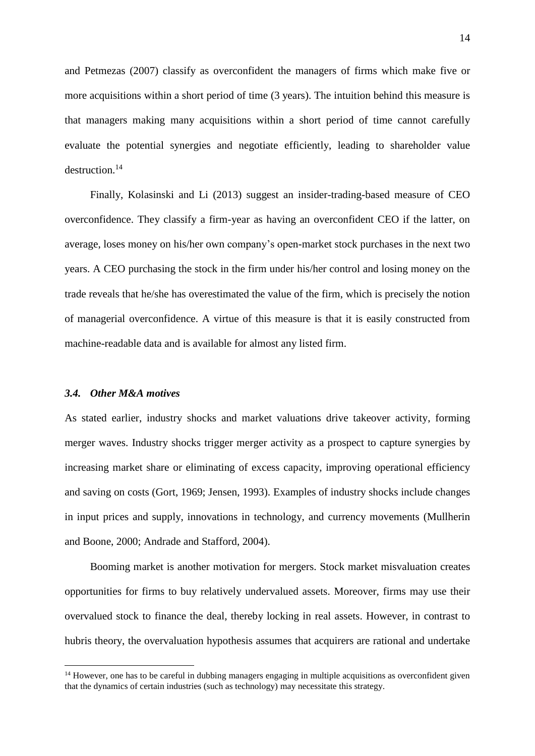and Petmezas (2007) classify as overconfident the managers of firms which make five or more acquisitions within a short period of time (3 years). The intuition behind this measure is that managers making many acquisitions within a short period of time cannot carefully evaluate the potential synergies and negotiate efficiently, leading to shareholder value destruction.<sup>14</sup>

Finally, Kolasinski and Li (2013) suggest an insider-trading-based measure of CEO overconfidence. They classify a firm-year as having an overconfident CEO if the latter, on average, loses money on his/her own company's open-market stock purchases in the next two years. A CEO purchasing the stock in the firm under his/her control and losing money on the trade reveals that he/she has overestimated the value of the firm, which is precisely the notion of managerial overconfidence. A virtue of this measure is that it is easily constructed from machine-readable data and is available for almost any listed firm.

## *3.4. Other M&A motives*

<u>.</u>

As stated earlier, industry shocks and market valuations drive takeover activity, forming merger waves. Industry shocks trigger merger activity as a prospect to capture synergies by increasing market share or eliminating of excess capacity, improving operational efficiency and saving on costs (Gort, 1969; Jensen, 1993). Examples of industry shocks include changes in input prices and supply, innovations in technology, and currency movements (Mullherin and Boone, 2000; Andrade and Stafford, 2004).

Booming market is another motivation for mergers. Stock market misvaluation creates opportunities for firms to buy relatively undervalued assets. Moreover, firms may use their overvalued stock to finance the deal, thereby locking in real assets. However, in contrast to hubris theory, the overvaluation hypothesis assumes that acquirers are rational and undertake

<sup>&</sup>lt;sup>14</sup> However, one has to be careful in dubbing managers engaging in multiple acquisitions as overconfident given that the dynamics of certain industries (such as technology) may necessitate this strategy.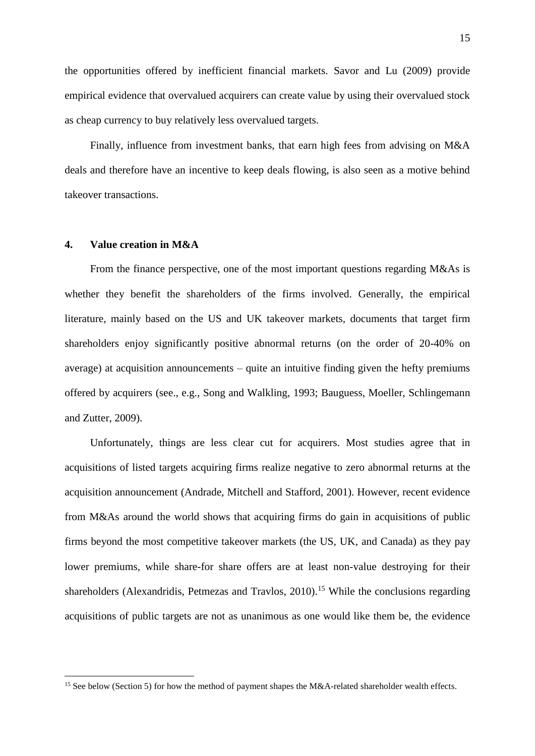the opportunities offered by inefficient financial markets. Savor and Lu (2009) provide empirical evidence that overvalued acquirers can create value by using their overvalued stock as cheap currency to buy relatively less overvalued targets.

Finally, influence from investment banks, that earn high fees from advising on M&A deals and therefore have an incentive to keep deals flowing, is also seen as a motive behind takeover transactions.

### **4. Value creation in M&A**

1

From the finance perspective, one of the most important questions regarding M&As is whether they benefit the shareholders of the firms involved. Generally, the empirical literature, mainly based on the US and UK takeover markets, documents that target firm shareholders enjoy significantly positive abnormal returns (on the order of 20-40% on average) at acquisition announcements – quite an intuitive finding given the hefty premiums offered by acquirers (see., e.g., Song and Walkling, 1993; Bauguess, Moeller, Schlingemann and Zutter, 2009).

Unfortunately, things are less clear cut for acquirers. Most studies agree that in acquisitions of listed targets acquiring firms realize negative to zero abnormal returns at the acquisition announcement (Andrade, Mitchell and Stafford, 2001). However, recent evidence from M&As around the world shows that acquiring firms do gain in acquisitions of public firms beyond the most competitive takeover markets (the US, UK, and Canada) as they pay lower premiums, while share-for share offers are at least non-value destroying for their shareholders (Alexandridis, Petmezas and Travlos, 2010).<sup>15</sup> While the conclusions regarding acquisitions of public targets are not as unanimous as one would like them be, the evidence

<sup>&</sup>lt;sup>15</sup> See below (Section 5) for how the method of payment shapes the M&A-related shareholder wealth effects.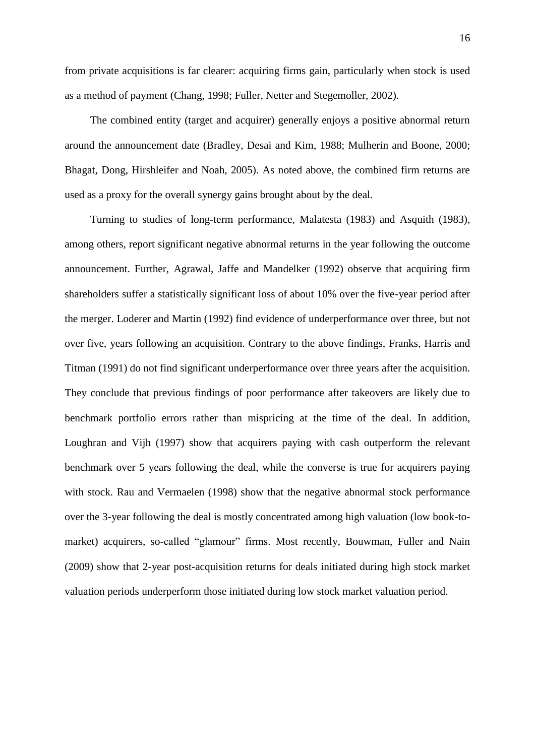from private acquisitions is far clearer: acquiring firms gain, particularly when stock is used as a method of payment (Chang, 1998; Fuller, Netter and Stegemoller, 2002).

The combined entity (target and acquirer) generally enjoys a positive abnormal return around the announcement date (Bradley, Desai and Kim, 1988; Mulherin and Boone, 2000; Bhagat, Dong, Hirshleifer and Noah, 2005). As noted above, the combined firm returns are used as a proxy for the overall synergy gains brought about by the deal.

Turning to studies of long-term performance, Malatesta (1983) and Asquith (1983), among others, report significant negative abnormal returns in the year following the outcome announcement. Further, Agrawal, Jaffe and Mandelker (1992) observe that acquiring firm shareholders suffer a statistically significant loss of about 10% over the five-year period after the merger. Loderer and Martin (1992) find evidence of underperformance over three, but not over five, years following an acquisition. Contrary to the above findings, Franks, Harris and Titman (1991) do not find significant underperformance over three years after the acquisition. They conclude that previous findings of poor performance after takeovers are likely due to benchmark portfolio errors rather than mispricing at the time of the deal. In addition, Loughran and Vijh (1997) show that acquirers paying with cash outperform the relevant benchmark over 5 years following the deal, while the converse is true for acquirers paying with stock. Rau and Vermaelen (1998) show that the negative abnormal stock performance over the 3-year following the deal is mostly concentrated among high valuation (low book-tomarket) acquirers, so-called "glamour" firms. Most recently, Bouwman, Fuller and Nain (2009) show that 2-year post-acquisition returns for deals initiated during high stock market valuation periods underperform those initiated during low stock market valuation period.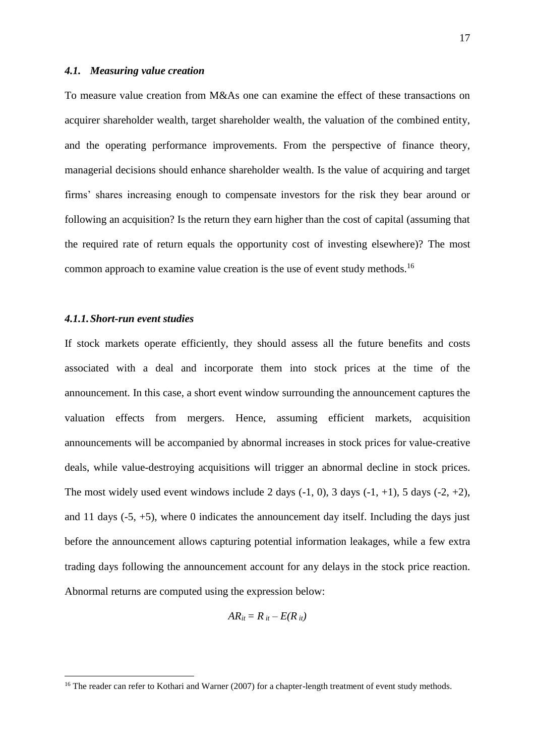#### *4.1. Measuring value creation*

To measure value creation from M&As one can examine the effect of these transactions on acquirer shareholder wealth, target shareholder wealth, the valuation of the combined entity, and the operating performance improvements. From the perspective of finance theory, managerial decisions should enhance shareholder wealth. Is the value of acquiring and target firms' shares increasing enough to compensate investors for the risk they bear around or following an acquisition? Is the return they earn higher than the cost of capital (assuming that the required rate of return equals the opportunity cost of investing elsewhere)? The most common approach to examine value creation is the use of event study methods.<sup>16</sup>

# *4.1.1.Short-run event studies*

1

If stock markets operate efficiently, they should assess all the future benefits and costs associated with a deal and incorporate them into stock prices at the time of the announcement. In this case, a short event window surrounding the announcement captures the valuation effects from mergers. Hence, assuming efficient markets, acquisition announcements will be accompanied by abnormal increases in stock prices for value-creative deals, while value-destroying acquisitions will trigger an abnormal decline in stock prices. The most widely used event windows include 2 days  $(-1, 0)$ , 3 days  $(-1, +1)$ , 5 days  $(-2, +2)$ , and 11 days  $(-5, +5)$ , where 0 indicates the announcement day itself. Including the days just before the announcement allows capturing potential information leakages, while a few extra trading days following the announcement account for any delays in the stock price reaction. Abnormal returns are computed using the expression below:

$$
AR_{it}=R_{it}-E(R_{it})
$$

 $16$  The reader can refer to Kothari and Warner (2007) for a chapter-length treatment of event study methods.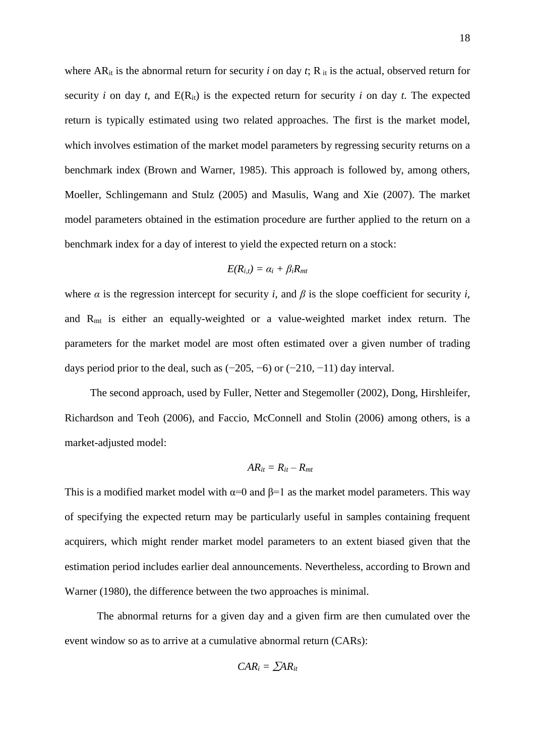where  $AR_{it}$  is the abnormal return for security *i* on day *t*;  $R_{it}$  is the actual, observed return for security *i* on day *t*, and  $E(R_{it})$  is the expected return for security *i* on day *t*. The expected return is typically estimated using two related approaches. The first is the market model, which involves estimation of the market model parameters by regressing security returns on a benchmark index (Brown and Warner, 1985). This approach is followed by, among others, Moeller, Schlingemann and Stulz (2005) and Masulis, Wang and Xie (2007). The market model parameters obtained in the estimation procedure are further applied to the return on a benchmark index for a day of interest to yield the expected return on a stock:

$$
E(R_{i,t}) = \alpha_i + \beta_i R_{mi}
$$

where  $\alpha$  is the regression intercept for security *i*, and  $\beta$  is the slope coefficient for security *i*, and Rmt is either an equally-weighted or a value-weighted market index return. The parameters for the market model are most often estimated over a given number of trading days period prior to the deal, such as  $(-205, -6)$  or  $(-210, -11)$  day interval.

The second approach, used by Fuller, Netter and Stegemoller (2002), Dong, Hirshleifer, Richardson and Teoh (2006), and Faccio, McConnell and Stolin (2006) among others, is a market-adjusted model:

$$
AR_{it}=R_{it}-R_{mt}
$$

This is a modified market model with  $\alpha=0$  and  $\beta=1$  as the market model parameters. This way of specifying the expected return may be particularly useful in samples containing frequent acquirers, which might render market model parameters to an extent biased given that the estimation period includes earlier deal announcements. Nevertheless, according to Brown and Warner (1980), the difference between the two approaches is minimal.

The abnormal returns for a given day and a given firm are then cumulated over the event window so as to arrive at a cumulative abnormal return (CARs):

$$
CAR_i = \sum AR_{it}
$$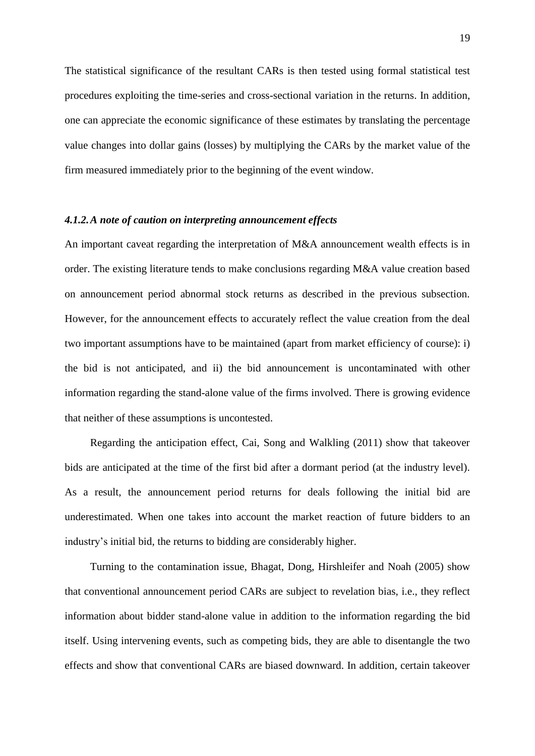The statistical significance of the resultant CARs is then tested using formal statistical test procedures exploiting the time-series and cross-sectional variation in the returns. In addition, one can appreciate the economic significance of these estimates by translating the percentage value changes into dollar gains (losses) by multiplying the CARs by the market value of the firm measured immediately prior to the beginning of the event window.

## *4.1.2.A note of caution on interpreting announcement effects*

An important caveat regarding the interpretation of M&A announcement wealth effects is in order. The existing literature tends to make conclusions regarding M&A value creation based on announcement period abnormal stock returns as described in the previous subsection. However, for the announcement effects to accurately reflect the value creation from the deal two important assumptions have to be maintained (apart from market efficiency of course): i) the bid is not anticipated, and ii) the bid announcement is uncontaminated with other information regarding the stand-alone value of the firms involved. There is growing evidence that neither of these assumptions is uncontested.

Regarding the anticipation effect, Cai, Song and Walkling (2011) show that takeover bids are anticipated at the time of the first bid after a dormant period (at the industry level). As a result, the announcement period returns for deals following the initial bid are underestimated. When one takes into account the market reaction of future bidders to an industry's initial bid, the returns to bidding are considerably higher.

Turning to the contamination issue, Bhagat, Dong, Hirshleifer and Noah (2005) show that conventional announcement period CARs are subject to revelation bias, i.e., they reflect information about bidder stand-alone value in addition to the information regarding the bid itself. Using intervening events, such as competing bids, they are able to disentangle the two effects and show that conventional CARs are biased downward. In addition, certain takeover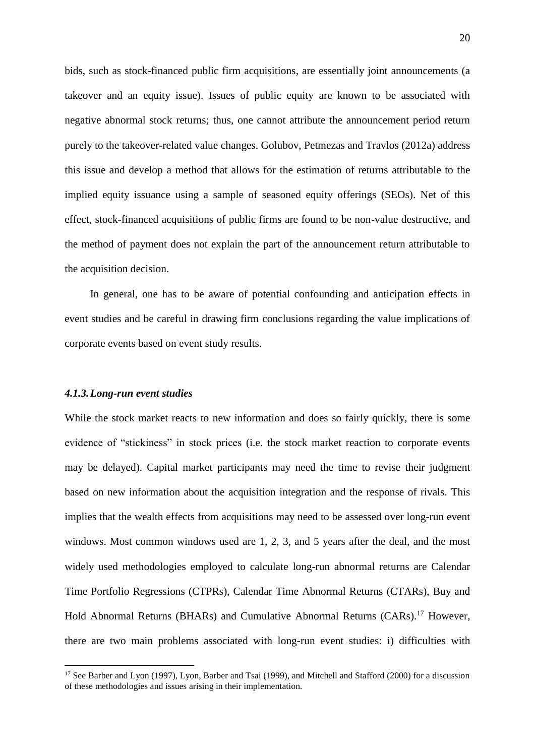bids, such as stock-financed public firm acquisitions, are essentially joint announcements (a takeover and an equity issue). Issues of public equity are known to be associated with negative abnormal stock returns; thus, one cannot attribute the announcement period return purely to the takeover-related value changes. Golubov, Petmezas and Travlos (2012a) address this issue and develop a method that allows for the estimation of returns attributable to the implied equity issuance using a sample of seasoned equity offerings (SEOs). Net of this effect, stock-financed acquisitions of public firms are found to be non-value destructive, and the method of payment does not explain the part of the announcement return attributable to the acquisition decision.

In general, one has to be aware of potential confounding and anticipation effects in event studies and be careful in drawing firm conclusions regarding the value implications of corporate events based on event study results.

#### *4.1.3.Long-run event studies*

<u>.</u>

While the stock market reacts to new information and does so fairly quickly, there is some evidence of "stickiness" in stock prices (i.e. the stock market reaction to corporate events may be delayed). Capital market participants may need the time to revise their judgment based on new information about the acquisition integration and the response of rivals. This implies that the wealth effects from acquisitions may need to be assessed over long-run event windows. Most common windows used are 1, 2, 3, and 5 years after the deal, and the most widely used methodologies employed to calculate long-run abnormal returns are Calendar Time Portfolio Regressions (CTPRs), Calendar Time Abnormal Returns (CTARs), Buy and Hold Abnormal Returns (BHARs) and Cumulative Abnormal Returns (CARs).<sup>17</sup> However, there are two main problems associated with long-run event studies: i) difficulties with

<sup>&</sup>lt;sup>17</sup> See Barber and Lyon (1997), Lyon, Barber and Tsai (1999), and Mitchell and Stafford (2000) for a discussion of these methodologies and issues arising in their implementation.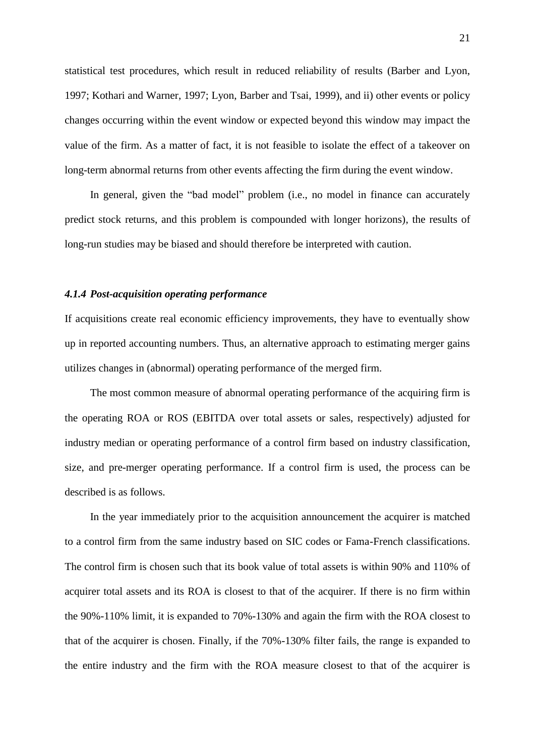statistical test procedures, which result in reduced reliability of results (Barber and Lyon, 1997; Kothari and Warner, 1997; Lyon, Barber and Tsai, 1999), and ii) other events or policy changes occurring within the event window or expected beyond this window may impact the value of the firm. As a matter of fact, it is not feasible to isolate the effect of a takeover on long-term abnormal returns from other events affecting the firm during the event window.

In general, given the "bad model" problem (i.e., no model in finance can accurately predict stock returns, and this problem is compounded with longer horizons), the results of long-run studies may be biased and should therefore be interpreted with caution.

## *4.1.4 Post-acquisition operating performance*

If acquisitions create real economic efficiency improvements, they have to eventually show up in reported accounting numbers. Thus, an alternative approach to estimating merger gains utilizes changes in (abnormal) operating performance of the merged firm.

The most common measure of abnormal operating performance of the acquiring firm is the operating ROA or ROS (EBITDA over total assets or sales, respectively) adjusted for industry median or operating performance of a control firm based on industry classification, size, and pre-merger operating performance. If a control firm is used, the process can be described is as follows.

In the year immediately prior to the acquisition announcement the acquirer is matched to a control firm from the same industry based on SIC codes or Fama-French classifications. The control firm is chosen such that its book value of total assets is within 90% and 110% of acquirer total assets and its ROA is closest to that of the acquirer. If there is no firm within the 90%-110% limit, it is expanded to 70%-130% and again the firm with the ROA closest to that of the acquirer is chosen. Finally, if the 70%-130% filter fails, the range is expanded to the entire industry and the firm with the ROA measure closest to that of the acquirer is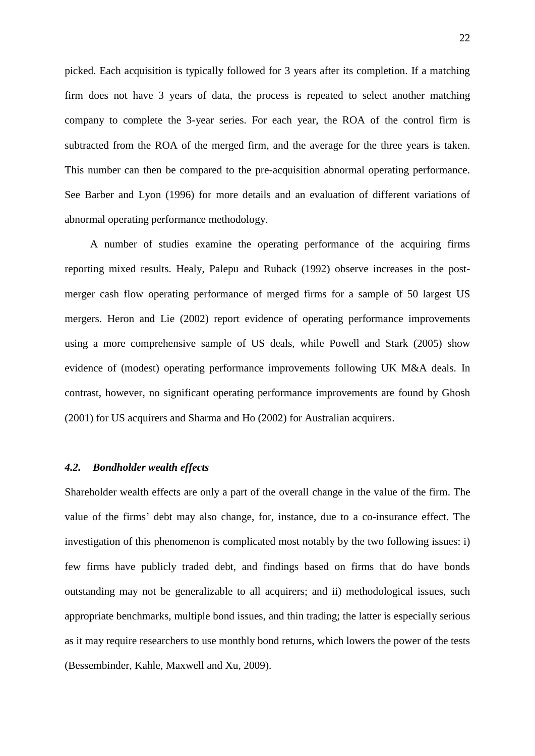picked. Each acquisition is typically followed for 3 years after its completion. If a matching firm does not have 3 years of data, the process is repeated to select another matching company to complete the 3-year series. For each year, the ROA of the control firm is subtracted from the ROA of the merged firm, and the average for the three years is taken. This number can then be compared to the pre-acquisition abnormal operating performance. See Barber and Lyon (1996) for more details and an evaluation of different variations of abnormal operating performance methodology.

A number of studies examine the operating performance of the acquiring firms reporting mixed results. Healy, Palepu and Ruback (1992) observe increases in the postmerger cash flow operating performance of merged firms for a sample of 50 largest US mergers. Heron and Lie (2002) report evidence of operating performance improvements using a more comprehensive sample of US deals, while Powell and Stark (2005) show evidence of (modest) operating performance improvements following UK M&A deals. In contrast, however, no significant operating performance improvements are found by Ghosh (2001) for US acquirers and Sharma and Ho (2002) for Australian acquirers.

# *4.2. Bondholder wealth effects*

Shareholder wealth effects are only a part of the overall change in the value of the firm. The value of the firms' debt may also change, for, instance, due to a co-insurance effect. The investigation of this phenomenon is complicated most notably by the two following issues: i) few firms have publicly traded debt, and findings based on firms that do have bonds outstanding may not be generalizable to all acquirers; and ii) methodological issues, such appropriate benchmarks, multiple bond issues, and thin trading; the latter is especially serious as it may require researchers to use monthly bond returns, which lowers the power of the tests (Bessembinder, Kahle, Maxwell and Xu, 2009).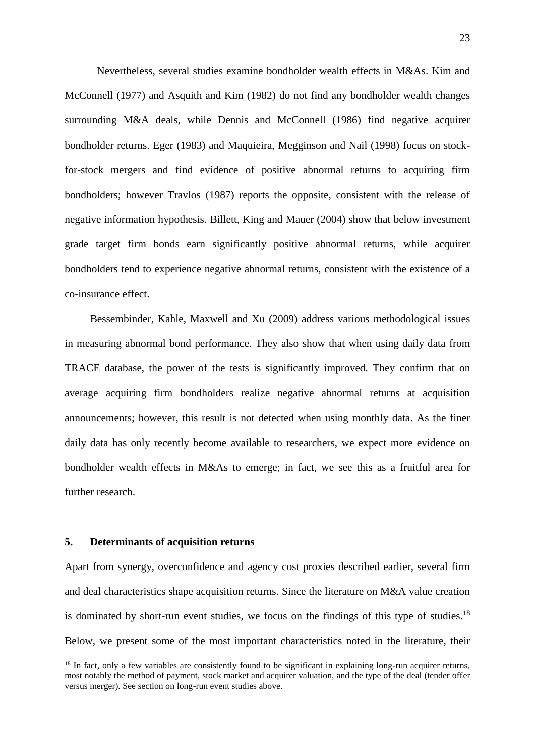Nevertheless, several studies examine bondholder wealth effects in M&As. Kim and McConnell (1977) and Asquith and Kim (1982) do not find any bondholder wealth changes surrounding M&A deals, while Dennis and McConnell (1986) find negative acquirer bondholder returns. Eger (1983) and Maquieira, Megginson and Nail (1998) focus on stockfor-stock mergers and find evidence of positive abnormal returns to acquiring firm bondholders; however Travlos (1987) reports the opposite, consistent with the release of negative information hypothesis. Billett, King and Mauer (2004) show that below investment grade target firm bonds earn significantly positive abnormal returns, while acquirer bondholders tend to experience negative abnormal returns, consistent with the existence of a co-insurance effect.

Bessembinder, Kahle, Maxwell and Xu (2009) address various methodological issues in measuring abnormal bond performance. They also show that when using daily data from TRACE database, the power of the tests is significantly improved. They confirm that on average acquiring firm bondholders realize negative abnormal returns at acquisition announcements; however, this result is not detected when using monthly data. As the finer daily data has only recently become available to researchers, we expect more evidence on bondholder wealth effects in M&As to emerge; in fact, we see this as a fruitful area for further research.

#### **5. Determinants of acquisition returns**

<u>.</u>

Apart from synergy, overconfidence and agency cost proxies described earlier, several firm and deal characteristics shape acquisition returns. Since the literature on M&A value creation is dominated by short-run event studies, we focus on the findings of this type of studies.<sup>18</sup> Below, we present some of the most important characteristics noted in the literature, their

 $18$  In fact, only a few variables are consistently found to be significant in explaining long-run acquirer returns, most notably the method of payment, stock market and acquirer valuation, and the type of the deal (tender offer versus merger). See section on long-run event studies above.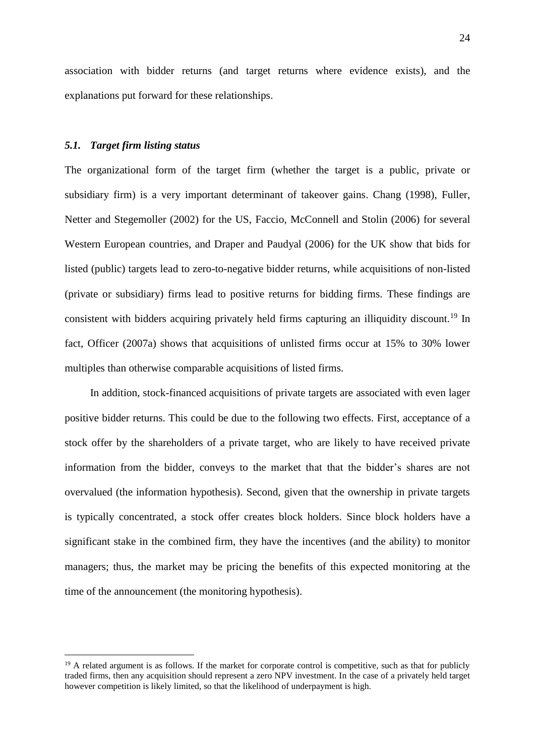association with bidder returns (and target returns where evidence exists), and the explanations put forward for these relationships.

## *5.1. Target firm listing status*

<u>.</u>

The organizational form of the target firm (whether the target is a public, private or subsidiary firm) is a very important determinant of takeover gains. Chang (1998), Fuller, Netter and Stegemoller (2002) for the US, Faccio, McConnell and Stolin (2006) for several Western European countries, and Draper and Paudyal (2006) for the UK show that bids for listed (public) targets lead to zero-to-negative bidder returns, while acquisitions of non-listed (private or subsidiary) firms lead to positive returns for bidding firms. These findings are consistent with bidders acquiring privately held firms capturing an illiquidity discount.<sup>19</sup> In fact, Officer (2007a) shows that acquisitions of unlisted firms occur at 15% to 30% lower multiples than otherwise comparable acquisitions of listed firms.

In addition, stock-financed acquisitions of private targets are associated with even lager positive bidder returns. This could be due to the following two effects. First, acceptance of a stock offer by the shareholders of a private target, who are likely to have received private information from the bidder, conveys to the market that that the bidder's shares are not overvalued (the information hypothesis). Second, given that the ownership in private targets is typically concentrated, a stock offer creates block holders. Since block holders have a significant stake in the combined firm, they have the incentives (and the ability) to monitor managers; thus, the market may be pricing the benefits of this expected monitoring at the time of the announcement (the monitoring hypothesis).

<sup>&</sup>lt;sup>19</sup> A related argument is as follows. If the market for corporate control is competitive, such as that for publicly traded firms, then any acquisition should represent a zero NPV investment. In the case of a privately held target however competition is likely limited, so that the likelihood of underpayment is high.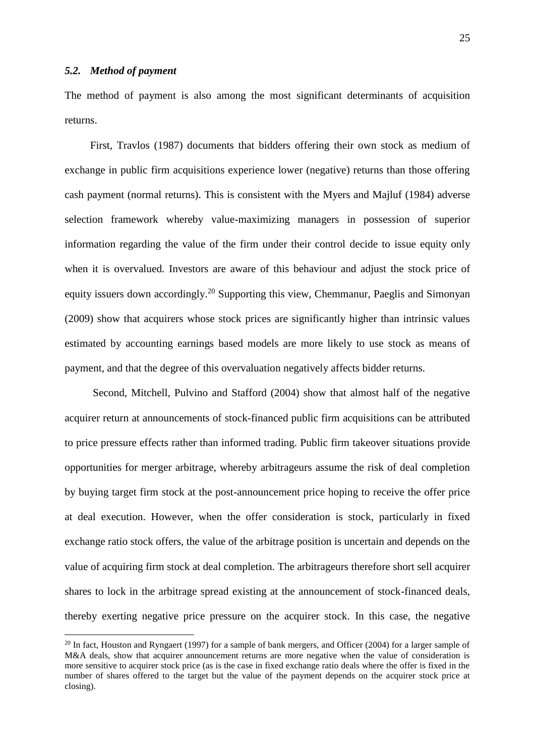<u>.</u>

The method of payment is also among the most significant determinants of acquisition returns.

First, Travlos (1987) documents that bidders offering their own stock as medium of exchange in public firm acquisitions experience lower (negative) returns than those offering cash payment (normal returns). This is consistent with the Myers and Majluf (1984) adverse selection framework whereby value-maximizing managers in possession of superior information regarding the value of the firm under their control decide to issue equity only when it is overvalued. Investors are aware of this behaviour and adjust the stock price of equity issuers down accordingly.<sup>20</sup> Supporting this view, Chemmanur, Paeglis and Simonyan (2009) show that acquirers whose stock prices are significantly higher than intrinsic values estimated by accounting earnings based models are more likely to use stock as means of payment, and that the degree of this overvaluation negatively affects bidder returns.

Second, Mitchell, Pulvino and Stafford (2004) show that almost half of the negative acquirer return at announcements of stock-financed public firm acquisitions can be attributed to price pressure effects rather than informed trading. Public firm takeover situations provide opportunities for merger arbitrage, whereby arbitrageurs assume the risk of deal completion by buying target firm stock at the post-announcement price hoping to receive the offer price at deal execution. However, when the offer consideration is stock, particularly in fixed exchange ratio stock offers, the value of the arbitrage position is uncertain and depends on the value of acquiring firm stock at deal completion. The arbitrageurs therefore short sell acquirer shares to lock in the arbitrage spread existing at the announcement of stock-financed deals, thereby exerting negative price pressure on the acquirer stock. In this case, the negative

<sup>&</sup>lt;sup>20</sup> In fact, Houston and Ryngaert (1997) for a sample of bank mergers, and Officer (2004) for a larger sample of M&A deals, show that acquirer announcement returns are more negative when the value of consideration is more sensitive to acquirer stock price (as is the case in fixed exchange ratio deals where the offer is fixed in the number of shares offered to the target but the value of the payment depends on the acquirer stock price at closing).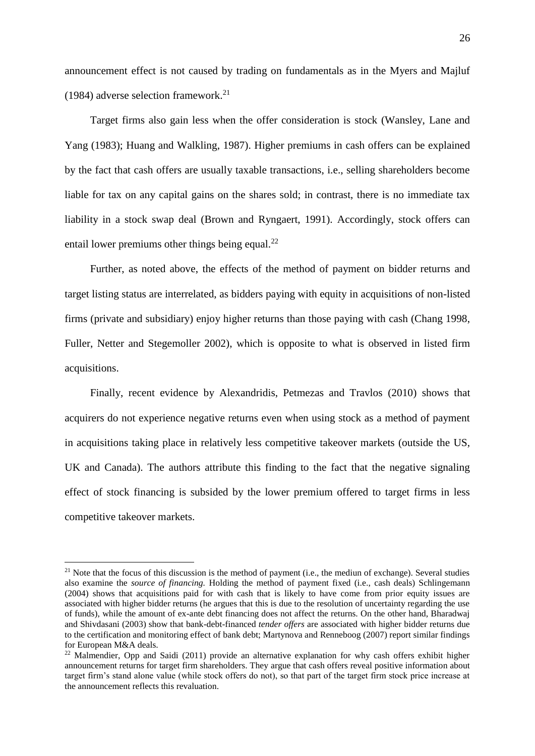announcement effect is not caused by trading on fundamentals as in the Myers and Majluf (1984) adverse selection framework.<sup>21</sup>

Target firms also gain less when the offer consideration is stock (Wansley, Lane and Yang (1983); Huang and Walkling, 1987). Higher premiums in cash offers can be explained by the fact that cash offers are usually taxable transactions, i.e., selling shareholders become liable for tax on any capital gains on the shares sold; in contrast, there is no immediate tax liability in a stock swap deal (Brown and Ryngaert, 1991). Accordingly, stock offers can entail lower premiums other things being equal. $^{22}$ 

Further, as noted above, the effects of the method of payment on bidder returns and target listing status are interrelated, as bidders paying with equity in acquisitions of non-listed firms (private and subsidiary) enjoy higher returns than those paying with cash (Chang 1998, Fuller, Netter and Stegemoller 2002), which is opposite to what is observed in listed firm acquisitions.

Finally, recent evidence by Alexandridis, Petmezas and Travlos (2010) shows that acquirers do not experience negative returns even when using stock as a method of payment in acquisitions taking place in relatively less competitive takeover markets (outside the US, UK and Canada). The authors attribute this finding to the fact that the negative signaling effect of stock financing is subsided by the lower premium offered to target firms in less competitive takeover markets.

1

 $21$  Note that the focus of this discussion is the method of payment (i.e., the mediun of exchange). Several studies also examine the *source of financing.* Holding the method of payment fixed (i.e., cash deals) Schlingemann (2004) shows that acquisitions paid for with cash that is likely to have come from prior equity issues are associated with higher bidder returns (he argues that this is due to the resolution of uncertainty regarding the use of funds), while the amount of ex-ante debt financing does not affect the returns. On the other hand, Bharadwaj and Shivdasani (2003) show that bank-debt-financed *tender offers* are associated with higher bidder returns due to the certification and monitoring effect of bank debt; Martynova and Renneboog (2007) report similar findings for European M&A deals.

<sup>&</sup>lt;sup>22</sup> Malmendier, Opp and Saidi (2011) provide an alternative explanation for why cash offers exhibit higher announcement returns for target firm shareholders. They argue that cash offers reveal positive information about target firm's stand alone value (while stock offers do not), so that part of the target firm stock price increase at the announcement reflects this revaluation.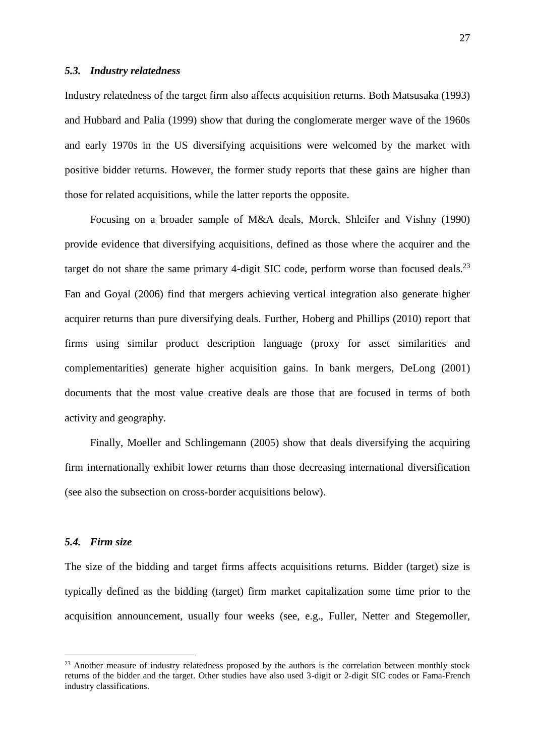### *5.3. Industry relatedness*

Industry relatedness of the target firm also affects acquisition returns. Both Matsusaka (1993) and Hubbard and Palia (1999) show that during the conglomerate merger wave of the 1960s and early 1970s in the US diversifying acquisitions were welcomed by the market with positive bidder returns. However, the former study reports that these gains are higher than those for related acquisitions, while the latter reports the opposite.

Focusing on a broader sample of M&A deals, Morck, Shleifer and Vishny (1990) provide evidence that diversifying acquisitions, defined as those where the acquirer and the target do not share the same primary 4-digit SIC code, perform worse than focused deals.<sup>23</sup> Fan and Goyal (2006) find that mergers achieving vertical integration also generate higher acquirer returns than pure diversifying deals. Further, Hoberg and Phillips (2010) report that firms using similar product description language (proxy for asset similarities and complementarities) generate higher acquisition gains. In bank mergers, DeLong (2001) documents that the most value creative deals are those that are focused in terms of both activity and geography.

Finally, Moeller and Schlingemann (2005) show that deals diversifying the acquiring firm internationally exhibit lower returns than those decreasing international diversification (see also the subsection on cross-border acquisitions below).

## *5.4. Firm size*

<u>.</u>

The size of the bidding and target firms affects acquisitions returns. Bidder (target) size is typically defined as the bidding (target) firm market capitalization some time prior to the acquisition announcement, usually four weeks (see, e.g., Fuller, Netter and Stegemoller,

<sup>&</sup>lt;sup>23</sup> Another measure of industry relatedness proposed by the authors is the correlation between monthly stock returns of the bidder and the target. Other studies have also used 3-digit or 2-digit SIC codes or Fama-French industry classifications.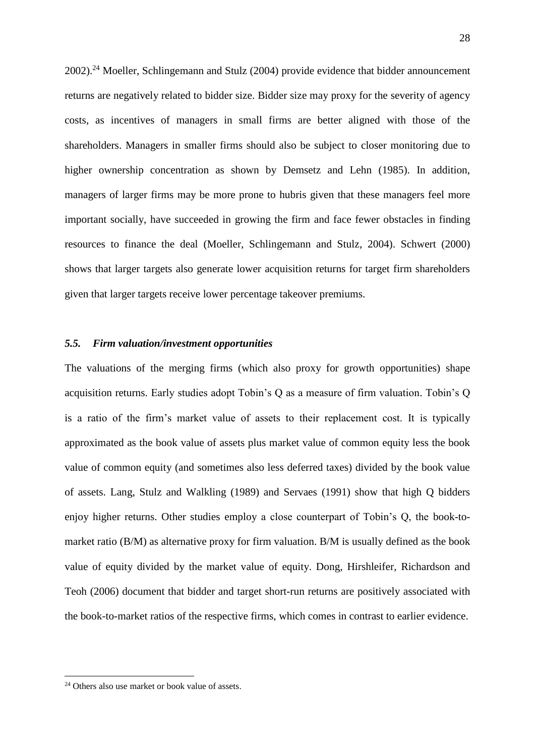2002).<sup>24</sup> Moeller, Schlingemann and Stulz (2004) provide evidence that bidder announcement returns are negatively related to bidder size. Bidder size may proxy for the severity of agency costs, as incentives of managers in small firms are better aligned with those of the shareholders. Managers in smaller firms should also be subject to closer monitoring due to higher ownership concentration as shown by Demsetz and Lehn (1985). In addition, managers of larger firms may be more prone to hubris given that these managers feel more important socially, have succeeded in growing the firm and face fewer obstacles in finding resources to finance the deal (Moeller, Schlingemann and Stulz, 2004). Schwert (2000) shows that larger targets also generate lower acquisition returns for target firm shareholders given that larger targets receive lower percentage takeover premiums.

## *5.5. Firm valuation/investment opportunities*

The valuations of the merging firms (which also proxy for growth opportunities) shape acquisition returns. Early studies adopt Tobin's Q as a measure of firm valuation. Tobin's Q is a ratio of the firm's market value of assets to their replacement cost. It is typically approximated as the book value of assets plus market value of common equity less the book value of common equity (and sometimes also less deferred taxes) divided by the book value of assets. Lang, Stulz and Walkling (1989) and Servaes (1991) show that high Q bidders enjoy higher returns. Other studies employ a close counterpart of Tobin's Q, the book-tomarket ratio (B/M) as alternative proxy for firm valuation. B/M is usually defined as the book value of equity divided by the market value of equity. Dong, Hirshleifer, Richardson and Teoh (2006) document that bidder and target short-run returns are positively associated with the book-to-market ratios of the respective firms, which comes in contrast to earlier evidence.

1

<sup>&</sup>lt;sup>24</sup> Others also use market or book value of assets.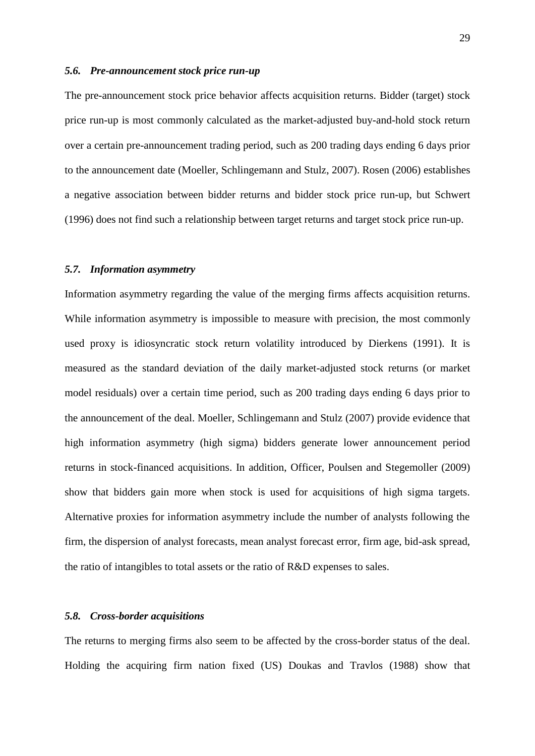### *5.6. Pre-announcement stock price run-up*

The pre-announcement stock price behavior affects acquisition returns. Bidder (target) stock price run-up is most commonly calculated as the market-adjusted buy-and-hold stock return over a certain pre-announcement trading period, such as 200 trading days ending 6 days prior to the announcement date (Moeller, Schlingemann and Stulz, 2007). Rosen (2006) establishes a negative association between bidder returns and bidder stock price run-up, but Schwert (1996) does not find such a relationship between target returns and target stock price run-up.

## *5.7. Information asymmetry*

Information asymmetry regarding the value of the merging firms affects acquisition returns. While information asymmetry is impossible to measure with precision, the most commonly used proxy is idiosyncratic stock return volatility introduced by Dierkens (1991). It is measured as the standard deviation of the daily market-adjusted stock returns (or market model residuals) over a certain time period, such as 200 trading days ending 6 days prior to the announcement of the deal. Moeller, Schlingemann and Stulz (2007) provide evidence that high information asymmetry (high sigma) bidders generate lower announcement period returns in stock-financed acquisitions. In addition, Officer, Poulsen and Stegemoller (2009) show that bidders gain more when stock is used for acquisitions of high sigma targets. Alternative proxies for information asymmetry include the number of analysts following the firm, the dispersion of analyst forecasts, mean analyst forecast error, firm age, bid-ask spread, the ratio of intangibles to total assets or the ratio of R&D expenses to sales.

## *5.8. Cross-border acquisitions*

The returns to merging firms also seem to be affected by the cross-border status of the deal. Holding the acquiring firm nation fixed (US) Doukas and Travlos (1988) show that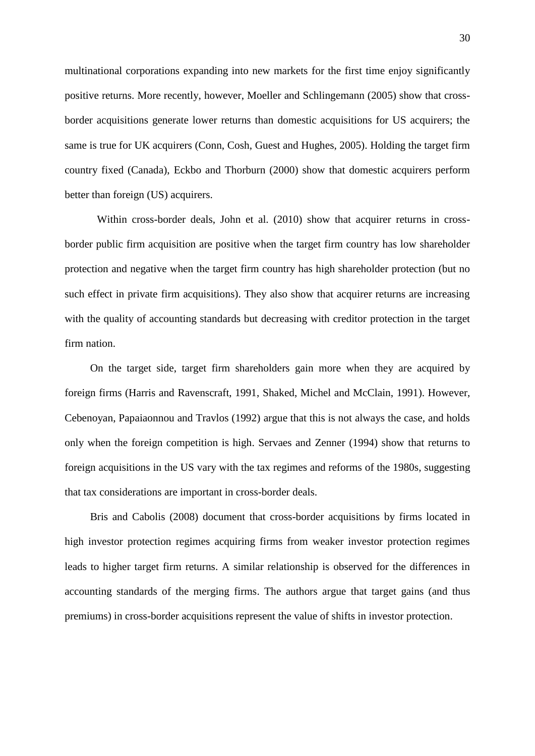multinational corporations expanding into new markets for the first time enjoy significantly positive returns. More recently, however, Moeller and Schlingemann (2005) show that crossborder acquisitions generate lower returns than domestic acquisitions for US acquirers; the same is true for UK acquirers (Conn, Cosh, Guest and Hughes, 2005). Holding the target firm country fixed (Canada), Eckbo and Thorburn (2000) show that domestic acquirers perform better than foreign (US) acquirers.

Within cross-border deals, John et al. (2010) show that acquirer returns in crossborder public firm acquisition are positive when the target firm country has low shareholder protection and negative when the target firm country has high shareholder protection (but no such effect in private firm acquisitions). They also show that acquirer returns are increasing with the quality of accounting standards but decreasing with creditor protection in the target firm nation.

On the target side, target firm shareholders gain more when they are acquired by foreign firms (Harris and Ravenscraft, 1991, Shaked, Michel and McClain, 1991). However, Cebenoyan, Papaiaonnou and Travlos (1992) argue that this is not always the case, and holds only when the foreign competition is high. Servaes and Zenner (1994) show that returns to foreign acquisitions in the US vary with the tax regimes and reforms of the 1980s, suggesting that tax considerations are important in cross-border deals.

Bris and Cabolis (2008) document that cross-border acquisitions by firms located in high investor protection regimes acquiring firms from weaker investor protection regimes leads to higher target firm returns. A similar relationship is observed for the differences in accounting standards of the merging firms. The authors argue that target gains (and thus premiums) in cross-border acquisitions represent the value of shifts in investor protection.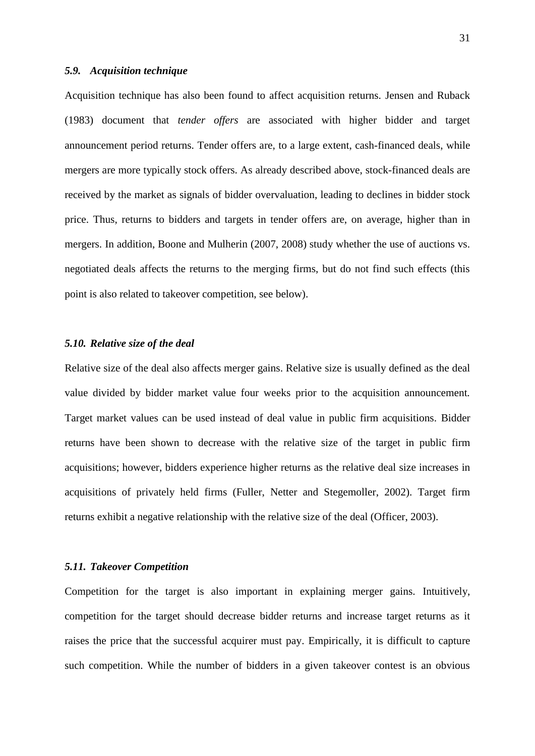## *5.9. Acquisition technique*

Acquisition technique has also been found to affect acquisition returns. Jensen and Ruback (1983) document that *tender offers* are associated with higher bidder and target announcement period returns. Tender offers are, to a large extent, cash-financed deals, while mergers are more typically stock offers. As already described above, stock-financed deals are received by the market as signals of bidder overvaluation, leading to declines in bidder stock price. Thus, returns to bidders and targets in tender offers are, on average, higher than in mergers. In addition, Boone and Mulherin (2007, 2008) study whether the use of auctions vs. negotiated deals affects the returns to the merging firms, but do not find such effects (this point is also related to takeover competition, see below).

## *5.10. Relative size of the deal*

Relative size of the deal also affects merger gains. Relative size is usually defined as the deal value divided by bidder market value four weeks prior to the acquisition announcement*.* Target market values can be used instead of deal value in public firm acquisitions. Bidder returns have been shown to decrease with the relative size of the target in public firm acquisitions; however, bidders experience higher returns as the relative deal size increases in acquisitions of privately held firms (Fuller, Netter and Stegemoller, 2002). Target firm returns exhibit a negative relationship with the relative size of the deal (Officer, 2003).

#### *5.11. Takeover Competition*

Competition for the target is also important in explaining merger gains. Intuitively, competition for the target should decrease bidder returns and increase target returns as it raises the price that the successful acquirer must pay. Empirically, it is difficult to capture such competition. While the number of bidders in a given takeover contest is an obvious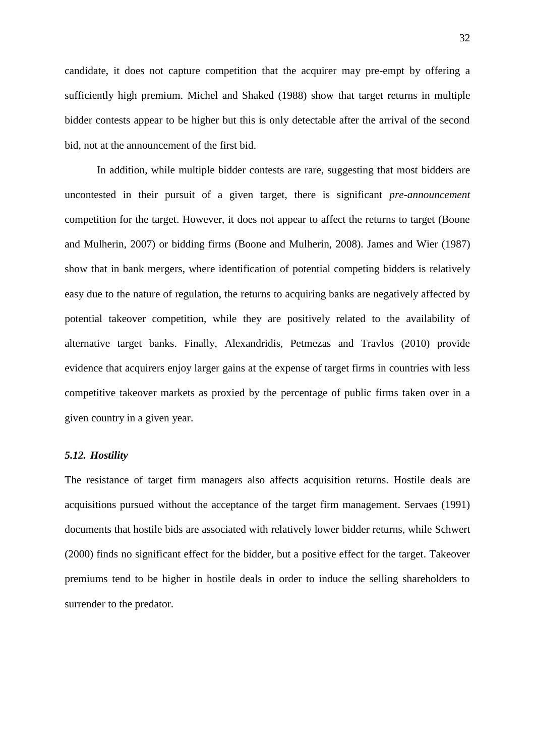candidate, it does not capture competition that the acquirer may pre-empt by offering a sufficiently high premium. Michel and Shaked (1988) show that target returns in multiple bidder contests appear to be higher but this is only detectable after the arrival of the second bid, not at the announcement of the first bid.

In addition, while multiple bidder contests are rare, suggesting that most bidders are uncontested in their pursuit of a given target, there is significant *pre-announcement* competition for the target. However, it does not appear to affect the returns to target (Boone and Mulherin, 2007) or bidding firms (Boone and Mulherin, 2008). James and Wier (1987) show that in bank mergers, where identification of potential competing bidders is relatively easy due to the nature of regulation, the returns to acquiring banks are negatively affected by potential takeover competition, while they are positively related to the availability of alternative target banks. Finally, Alexandridis, Petmezas and Travlos (2010) provide evidence that acquirers enjoy larger gains at the expense of target firms in countries with less competitive takeover markets as proxied by the percentage of public firms taken over in a given country in a given year.

## *5.12. Hostility*

The resistance of target firm managers also affects acquisition returns. Hostile deals are acquisitions pursued without the acceptance of the target firm management. Servaes (1991) documents that hostile bids are associated with relatively lower bidder returns, while Schwert (2000) finds no significant effect for the bidder, but a positive effect for the target. Takeover premiums tend to be higher in hostile deals in order to induce the selling shareholders to surrender to the predator.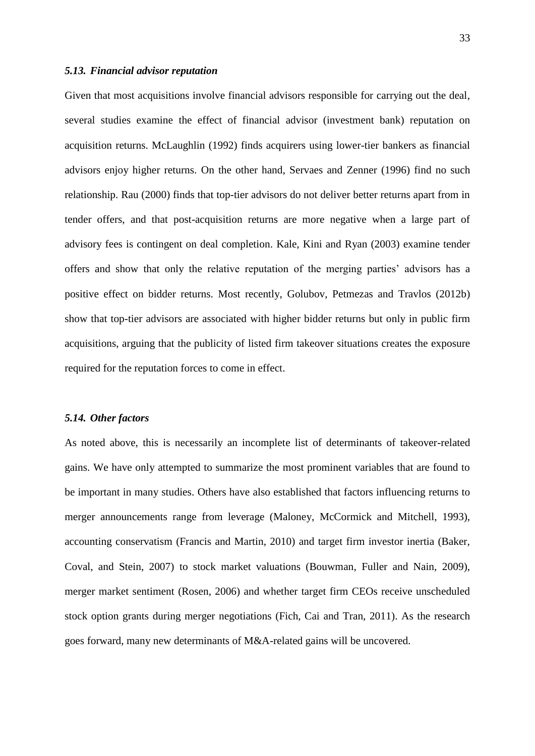## *5.13. Financial advisor reputation*

Given that most acquisitions involve financial advisors responsible for carrying out the deal, several studies examine the effect of financial advisor (investment bank) reputation on acquisition returns. McLaughlin (1992) finds acquirers using lower-tier bankers as financial advisors enjoy higher returns. On the other hand, Servaes and Zenner (1996) find no such relationship. Rau (2000) finds that top-tier advisors do not deliver better returns apart from in tender offers, and that post-acquisition returns are more negative when a large part of advisory fees is contingent on deal completion. Kale, Kini and Ryan (2003) examine tender offers and show that only the relative reputation of the merging parties' advisors has a positive effect on bidder returns. Most recently, Golubov, Petmezas and Travlos (2012b) show that top-tier advisors are associated with higher bidder returns but only in public firm acquisitions, arguing that the publicity of listed firm takeover situations creates the exposure required for the reputation forces to come in effect.

#### *5.14. Other factors*

As noted above, this is necessarily an incomplete list of determinants of takeover-related gains. We have only attempted to summarize the most prominent variables that are found to be important in many studies. Others have also established that factors influencing returns to merger announcements range from leverage (Maloney, McCormick and Mitchell, 1993), accounting conservatism (Francis and Martin, 2010) and target firm investor inertia (Baker, Coval, and Stein, 2007) to stock market valuations (Bouwman, Fuller and Nain, 2009), merger market sentiment (Rosen, 2006) and whether target firm CEOs receive unscheduled stock option grants during merger negotiations (Fich, Cai and Tran, 2011). As the research goes forward, many new determinants of M&A-related gains will be uncovered.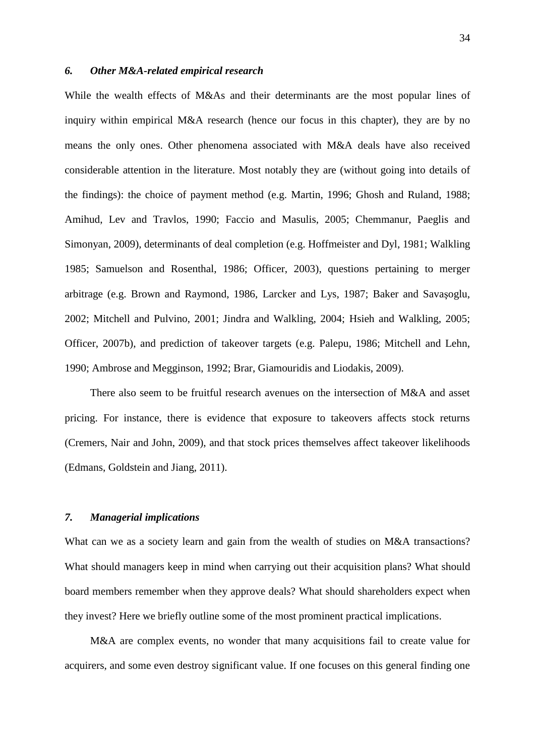## *6. Other M&A-related empirical research*

While the wealth effects of M&As and their determinants are the most popular lines of inquiry within empirical M&A research (hence our focus in this chapter), they are by no means the only ones. Other phenomena associated with M&A deals have also received considerable attention in the literature. Most notably they are (without going into details of the findings): the choice of payment method (e.g. Martin, 1996; Ghosh and Ruland, 1988; Amihud, Lev and Travlos, 1990; Faccio and Masulis, 2005; Chemmanur, Paeglis and Simonyan, 2009), determinants of deal completion (e.g. Hoffmeister and Dyl, 1981; Walkling 1985; Samuelson and Rosenthal, 1986; Officer, 2003), questions pertaining to merger arbitrage (e.g. Brown and Raymond, 1986, Larcker and Lys, 1987; Baker and Savaşoglu, 2002; Mitchell and Pulvino, 2001; Jindra and Walkling, 2004; Hsieh and Walkling, 2005; Officer, 2007b), and prediction of takeover targets (e.g. Palepu, 1986; Mitchell and Lehn, 1990; Ambrose and Megginson, 1992; Brar, Giamouridis and Liodakis, 2009).

There also seem to be fruitful research avenues on the intersection of M&A and asset pricing. For instance, there is evidence that exposure to takeovers affects stock returns (Cremers, Nair and John, 2009), and that stock prices themselves affect takeover likelihoods (Edmans, Goldstein and Jiang, 2011).

## *7. Managerial implications*

What can we as a society learn and gain from the wealth of studies on M&A transactions? What should managers keep in mind when carrying out their acquisition plans? What should board members remember when they approve deals? What should shareholders expect when they invest? Here we briefly outline some of the most prominent practical implications.

M&A are complex events, no wonder that many acquisitions fail to create value for acquirers, and some even destroy significant value. If one focuses on this general finding one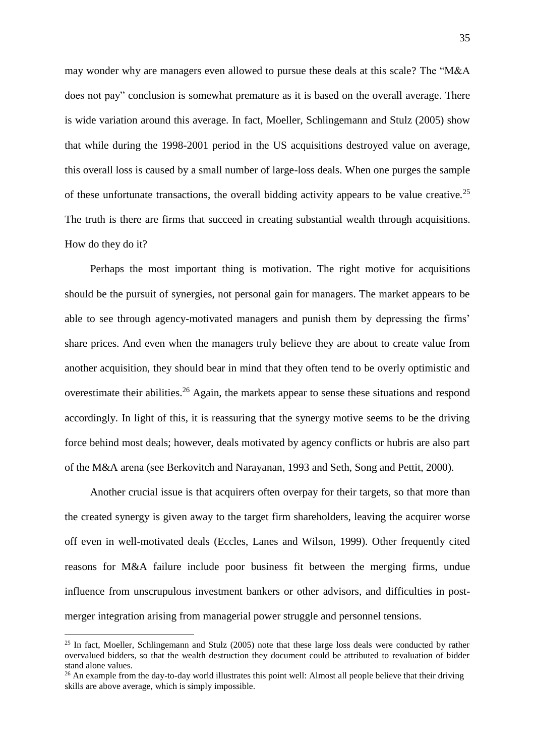may wonder why are managers even allowed to pursue these deals at this scale? The "M&A does not pay" conclusion is somewhat premature as it is based on the overall average. There is wide variation around this average. In fact, Moeller, Schlingemann and Stulz (2005) show that while during the 1998-2001 period in the US acquisitions destroyed value on average, this overall loss is caused by a small number of large-loss deals. When one purges the sample of these unfortunate transactions, the overall bidding activity appears to be value creative.<sup>25</sup> The truth is there are firms that succeed in creating substantial wealth through acquisitions. How do they do it?

Perhaps the most important thing is motivation. The right motive for acquisitions should be the pursuit of synergies, not personal gain for managers. The market appears to be able to see through agency-motivated managers and punish them by depressing the firms' share prices. And even when the managers truly believe they are about to create value from another acquisition, they should bear in mind that they often tend to be overly optimistic and overestimate their abilities.<sup>26</sup> Again, the markets appear to sense these situations and respond accordingly. In light of this, it is reassuring that the synergy motive seems to be the driving force behind most deals; however, deals motivated by agency conflicts or hubris are also part of the M&A arena (see Berkovitch and Narayanan, 1993 and Seth, Song and Pettit, 2000).

Another crucial issue is that acquirers often overpay for their targets, so that more than the created synergy is given away to the target firm shareholders, leaving the acquirer worse off even in well-motivated deals (Eccles, Lanes and Wilson, 1999). Other frequently cited reasons for M&A failure include poor business fit between the merging firms, undue influence from unscrupulous investment bankers or other advisors, and difficulties in postmerger integration arising from managerial power struggle and personnel tensions.

<u>.</u>

<sup>&</sup>lt;sup>25</sup> In fact, Moeller, Schlingemann and Stulz (2005) note that these large loss deals were conducted by rather overvalued bidders, so that the wealth destruction they document could be attributed to revaluation of bidder stand alone values.

 $^{26}$  An example from the day-to-day world illustrates this point well: Almost all people believe that their driving skills are above average, which is simply impossible.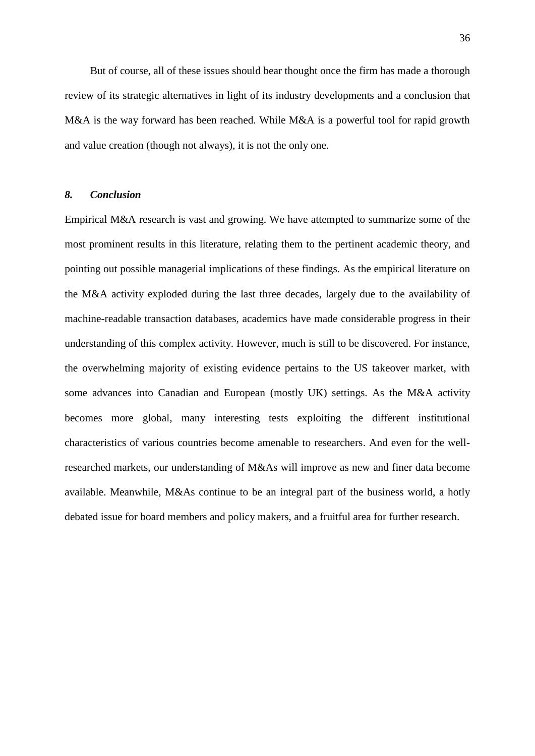But of course, all of these issues should bear thought once the firm has made a thorough review of its strategic alternatives in light of its industry developments and a conclusion that M&A is the way forward has been reached. While M&A is a powerful tool for rapid growth and value creation (though not always), it is not the only one.

# *8. Conclusion*

Empirical M&A research is vast and growing. We have attempted to summarize some of the most prominent results in this literature, relating them to the pertinent academic theory, and pointing out possible managerial implications of these findings. As the empirical literature on the M&A activity exploded during the last three decades, largely due to the availability of machine-readable transaction databases, academics have made considerable progress in their understanding of this complex activity. However, much is still to be discovered. For instance, the overwhelming majority of existing evidence pertains to the US takeover market, with some advances into Canadian and European (mostly UK) settings. As the M&A activity becomes more global, many interesting tests exploiting the different institutional characteristics of various countries become amenable to researchers. And even for the wellresearched markets, our understanding of M&As will improve as new and finer data become available. Meanwhile, M&As continue to be an integral part of the business world, a hotly debated issue for board members and policy makers, and a fruitful area for further research.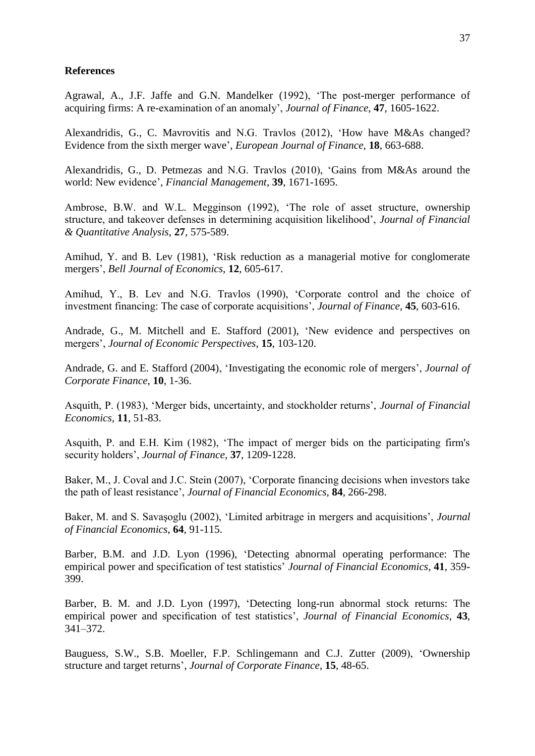## **References**

Agrawal, A., J.F. Jaffe and G.N. Mandelker (1992), 'The post-merger performance of acquiring firms: A re-examination of an anomaly', *Journal of Finance*, **47**, 1605-1622.

Alexandridis, G., C. Mavrovitis and N.G. Travlos (2012), 'How have M&As changed? Evidence from the sixth merger wave', *European Journal of Finance,* **18**, 663-688.

Alexandridis, G., D. Petmezas and N.G. Travlos (2010), 'Gains from M&As around the world: New evidence', *Financial Management*, **39**, 1671-1695.

Ambrose, B.W. and W.L. Megginson (1992), 'The role of asset structure, ownership structure, and takeover defenses in determining acquisition likelihood', *Journal of Financial & Quantitative Analysis*, **27**, 575-589.

Amihud, Y. and B. Lev (1981), 'Risk reduction as a managerial motive for conglomerate mergers', *Bell Journal of Economics*, **12**, 605-617.

Amihud, Y., B. Lev and N.G. Travlos (1990), 'Corporate control and the choice of investment financing: The case of corporate acquisitions', *Journal of Finance*, **45**, 603-616.

Andrade, G., M. Mitchell and E. Stafford (2001), 'New evidence and perspectives on mergers', *Journal of Economic Perspectives*, **15**, 103-120.

Andrade, G. and E. Stafford (2004), 'Investigating the economic role of mergers', *Journal of Corporate Finance*, **10**, 1-36.

Asquith, P. (1983), 'Merger bids, uncertainty, and stockholder returns', *Journal of Financial Economics,* **11**, 51-83.

Asquith, P. and E.H. Kim (1982), 'The impact of merger bids on the participating firm's security holders', *Journal of Finance*, **37**, 1209-1228.

Baker, M., J. Coval and J.C. Stein (2007), 'Corporate financing decisions when investors take the path of least resistance', *Journal of Financial Economics*, **84**, 266-298.

Baker, M. and S. Savaşoglu (2002), 'Limited arbitrage in mergers and acquisitions', *Journal of Financial Economics*, **64**, 91-115.

Barber, B.M. and J.D. Lyon (1996), 'Detecting abnormal operating performance: The empirical power and specification of test statistics' *Journal of Financial Economics*, **41**, 359- 399.

Barber, B. M. and J.D. Lyon (1997), 'Detecting long-run abnormal stock returns: The empirical power and specification of test statistics', *Journal of Financial Economics*, **43**, 341–372.

Bauguess, S.W., S.B. Moeller, F.P. Schlingemann and C.J. Zutter (2009), 'Ownership structure and target returns', *Journal of Corporate Finance*, **15**, 48-65.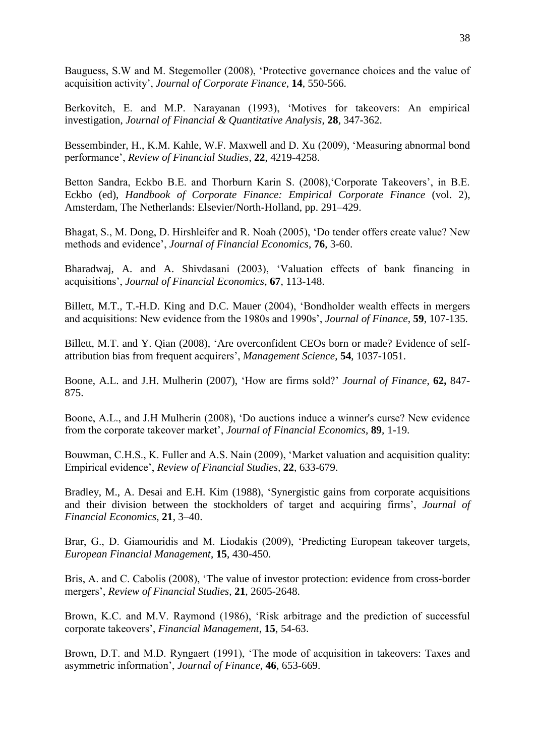Bauguess, S.W and M. Stegemoller (2008), 'Protective governance choices and the value of acquisition activity', *Journal of Corporate Finance*, **14**, 550-566.

Berkovitch, E. and M.P. Narayanan (1993), 'Motives for takeovers: An empirical investigation, *Journal of Financial & Quantitative Analysis*, **28**, 347-362.

Bessembinder, H., K.M. Kahle, W.F. Maxwell and D. Xu (2009), 'Measuring abnormal bond performance', *Review of Financial Studies*, **22**, 4219-4258.

Betton Sandra, Eckbo B.E. and Thorburn Karin S. (2008),'Corporate Takeovers', in B.E. Eckbo (ed), *Handbook of Corporate Finance: Empirical Corporate Finance* (vol. 2), Amsterdam, The Netherlands: Elsevier/North-Holland, pp. 291–429.

Bhagat, S., M. Dong, D. Hirshleifer and R. Noah (2005), 'Do tender offers create value? New methods and evidence', *Journal of Financial Economics*, **76**, 3-60.

Bharadwaj, A. and A. Shivdasani (2003), 'Valuation effects of bank financing in acquisitions', *Journal of Financial Economics*, **67**, 113-148.

Billett, M.T., T.-H.D. King and D.C. Mauer (2004), 'Bondholder wealth effects in mergers and acquisitions: New evidence from the 1980s and 1990s', *Journal of Finance*, **59**, 107-135.

Billett, M.T. and Y. Qian (2008), 'Are overconfident CEOs born or made? Evidence of selfattribution bias from frequent acquirers', *Management Science*, **54**, 1037-1051.

Boone, A.L. and J.H. Mulherin (2007), 'How are firms sold?' *Journal of Finance*, **62,** 847- 875.

Boone, A.L., and J.H Mulherin (2008), 'Do auctions induce a winner's curse? New evidence from the corporate takeover market', *Journal of Financial Economics*, **89**, 1-19.

Bouwman, C.H.S., K. Fuller and A.S. Nain (2009), 'Market valuation and acquisition quality: Empirical evidence', *Review of Financial Studies,* **22**, 633-679.

Bradley, M., A. Desai and E.H. Kim (1988), 'Synergistic gains from corporate acquisitions and their division between the stockholders of target and acquiring firms', *Journal of Financial Economics*, **21**, 3–40.

Brar, G., D. Giamouridis and M. Liodakis (2009), 'Predicting European takeover targets, *European Financial Management*, **15**, 430-450.

Bris, A. and C. Cabolis (2008), 'The value of investor protection: evidence from cross-border mergers', *Review of Financial Studies*, **21**, 2605-2648.

Brown, K.C. and M.V. Raymond (1986), 'Risk arbitrage and the prediction of successful corporate takeovers', *Financial Management*, **15**, 54-63.

Brown, D.T. and M.D. Ryngaert (1991), 'The mode of acquisition in takeovers: Taxes and asymmetric information', *Journal of Finance*, **46**, 653-669.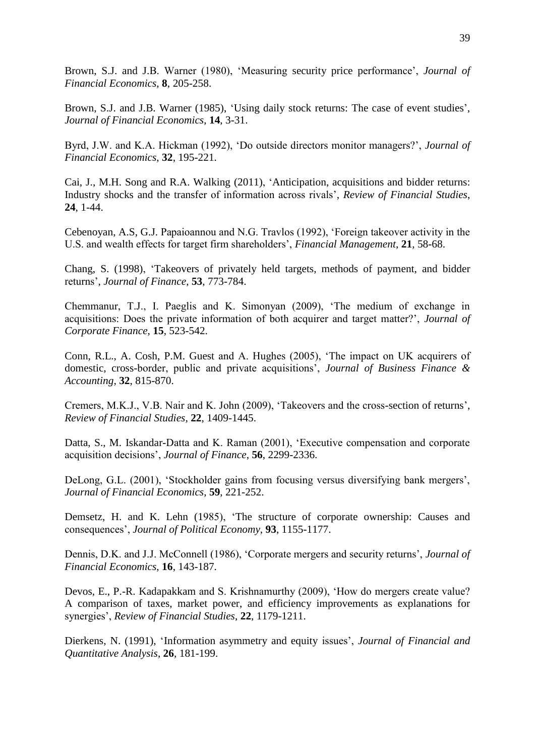Brown, S.J. and J.B. Warner (1980), 'Measuring security price performance', *Journal of Financial Economics*, **8**, 205-258.

Brown, S.J. and J.B. Warner (1985), ['Using daily stock returns: The case of event studies'](http://www.kelley.iu.edu/clundbla/brownwarner85.pdf), *Journal of Financial Economics*, **14**, 3-31.

Byrd, J.W. and K.A. Hickman (1992), 'Do outside directors monitor managers?', *Journal of Financial Economics*, **32**, 195-221.

Cai, J., M.H. Song and R.A. Walking (2011), 'Anticipation, acquisitions and bidder returns: Industry shocks and the transfer of information across rivals', *Review of Financial Studies*, **24**, 1-44.

Cebenoyan, A.S, G.J. Papaioannou and N.G. Travlos (1992), 'Foreign takeover activity in the U.S. and wealth effects for target firm shareholders', *Financial Management*, **21**, 58-68.

Chang, S. (1998), 'Takeovers of privately held targets, methods of payment, and bidder returns', *Journal of Finance*, **53**, 773-784.

Chemmanur, T.J., I. Paeglis and K. Simonyan (2009), 'The medium of exchange in acquisitions: Does the private information of both acquirer and target matter?', *Journal of Corporate Finance*, **15**, 523-542.

Conn, R.L., A. Cosh, P.M. Guest and A. Hughes (2005), 'The impact on UK acquirers of domestic, cross-border, public and private acquisitions', *Journal of Business Finance & Accounting*, **32**, 815-870.

Cremers, M.K.J., V.B. Nair and K. John (2009), 'Takeovers and the cross-section of returns', *Review of Financial Studies,* **22**, 1409-1445.

Datta, S., M. Iskandar-Datta and K. Raman (2001), 'Executive compensation and corporate acquisition decisions', *Journal of Finance*, **56**, 2299-2336.

DeLong, G.L. (2001), 'Stockholder gains from focusing versus diversifying bank mergers', *Journal of Financial Economics*, **59**, 221-252.

Demsetz, H. and K. Lehn (1985), 'The structure of corporate ownership: Causes and consequences', *Journal of Political Economy*, **93**, 1155-1177.

Dennis, D.K. and J.J. McConnell (1986), 'Corporate mergers and security returns', *Journal of Financial Economics*, **16**, 143-187.

Devos, E., P.-R. Kadapakkam and S. Krishnamurthy (2009), 'How do mergers create value? A comparison of taxes, market power, and efficiency improvements as explanations for synergies', *Review of Financial Studies*, **22**, 1179-1211.

Dierkens, N. (1991), 'Information asymmetry and equity issues', *Journal of Financial and Quantitative Analysis*, **26**, 181-199.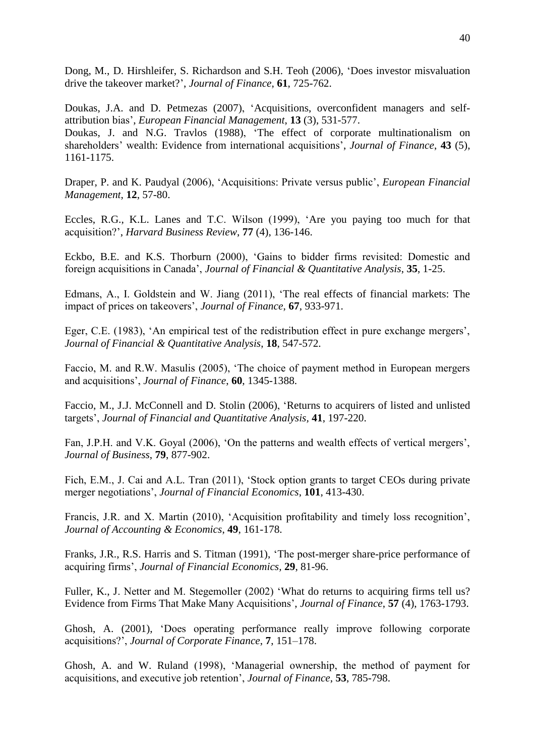Dong, M., D. Hirshleifer, S. Richardson and S.H. Teoh (2006), ['Does investor misvaluation](http://ideas.repec.org/a/bla/jfinan/v61y2006i2p725-762.html)  [drive the takeover](http://ideas.repec.org/a/bla/jfinan/v61y2006i2p725-762.html) market?', *[Journal of Finance](http://ideas.repec.org/s/bla/jfinan.html)*, **61**, 725-762.

Doukas, J.A. and D. Petmezas (2007), 'Acquisitions, overconfident managers and selfattribution bias', *European Financial Management*, **13** (3), 531-577. Doukas, J. and N.G. Travlos (1988), 'The effect of corporate multinationalism on shareholders' wealth: Evidence from international acquisitions', *Journal of Finance*, **43** (5), 1161-1175.

Draper, P. and K. Paudyal (2006), 'Acquisitions: Private versus public', *European Financial Management*, **12**, 57-80.

Eccles, R.G., K.L. Lanes and T.C. Wilson (1999), 'Are you paying too much for that acquisition?', *Harvard Business Review*, **77** (4), 136-146.

Eckbo, B.E. and K.S. Thorburn (2000), 'Gains to bidder firms revisited: Domestic and foreign acquisitions in Canada', *Journal of Financial & Quantitative Analysis*, **35**, 1-25.

Edmans, A., I. Goldstein and W. Jiang (2011), 'The real effects of financial markets: The impact of prices on takeovers', *Journal of Finance*, **67**, 933-971.

Eger, C.E. (1983), 'An empirical test of the redistribution effect in pure exchange mergers', *Journal of Financial & Quantitative Analysis*, **18**, 547-572.

Faccio, M. and R.W. Masulis (2005), 'The choice of payment method in European mergers and acquisitions', *Journal of Finance*, **60**, 1345-1388.

Faccio, M., J.J. McConnell and D. Stolin (2006), 'Returns to acquirers of listed and unlisted targets', *Journal of Financial and Quantitative Analysis,* **41**, 197-220.

Fan, J.P.H. and V.K. Goyal (2006), 'On the patterns and wealth effects of vertical mergers', *Journal of Business*, **79**, 877-902.

Fich, E.M., J. Cai and A.L. Tran (2011), 'Stock option grants to target CEOs during private merger negotiations', *Journal of Financial Economics*, **101**, 413-430.

Francis, J.R. and X. Martin (2010), 'Acquisition profitability and timely loss recognition', *Journal of Accounting & Economics*, **49**, 161-178.

Franks, J.R., R.S. Harris and S. Titman (1991), 'The post-merger share-price performance of acquiring firms', *Journal of Financial Economics,* **29**, 81-96.

Fuller, K., J. Netter and M. Stegemoller (2002) 'What do returns to acquiring firms tell us? Evidence from Firms That Make Many Acquisitions', *Journal of Finance*, **57** (4), 1763-1793.

Ghosh, A. (2001), 'Does operating performance really improve following corporate acquisitions?', *Journal of Corporate Finance*, **7**, 151–178.

Ghosh, A. and W. Ruland (1998), 'Managerial ownership, the method of payment for acquisitions, and executive job retention', *Journal of Finance*, **53**, 785-798.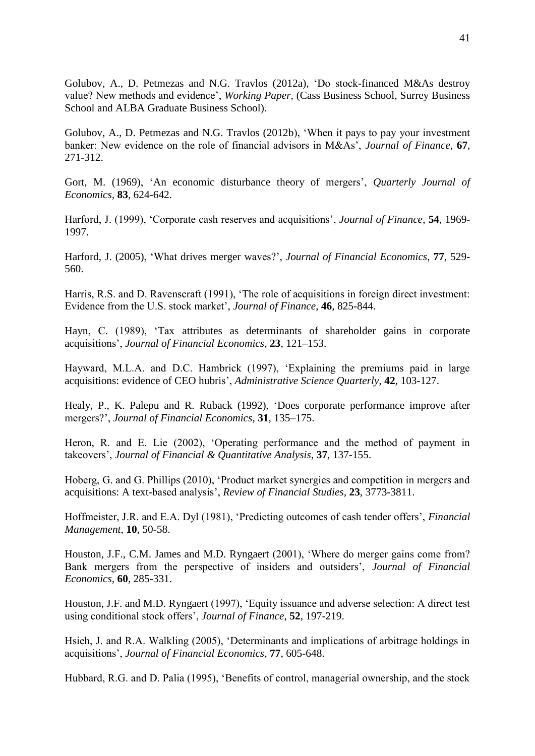Golubov, A., D. Petmezas and N.G. Travlos (2012a), 'Do stock-financed M&As destroy value? New methods and evidence', *Working Paper*, (Cass Business School, Surrey Business School and ALBA Graduate Business School).

Golubov, A., D. Petmezas and N.G. Travlos (2012b), 'When it pays to pay your investment banker: New evidence on the role of financial advisors in M&As', *Journal of Finance,* **67**, 271-312.

Gort, M. (1969), 'An economic disturbance theory of mergers', *Quarterly Journal of Economics,* **83**, 624-642.

Harford, J. (1999), 'Corporate cash reserves and acquisitions', *Journal of Finance*, **54**, 1969- 1997.

Harford, J. (2005), 'What drives merger waves?', *Journal of Financial Economics*, **77**, 529- 560.

Harris, R.S. and D. Ravenscraft (1991), 'The role of acquisitions in foreign direct investment: Evidence from the U.S. stock market', *Journal of Finance*, **46**, 825-844.

Hayn, C. (1989), 'Tax attributes as determinants of shareholder gains in corporate acquisitions', *Journal of Financial Economics*, **23**, 121–153.

Hayward, M.L.A. and D.C. Hambrick (1997), 'Explaining the premiums paid in large acquisitions: evidence of CEO hubris', *Administrative Science Quarterly*, **42**, 103-127.

Healy, P., K. Palepu and R. Ruback (1992), 'Does corporate performance improve after mergers?', *Journal of Financial Economics*, **31**, 135–175.

Heron, R. and E. Lie (2002), 'Operating performance and the method of payment in takeovers', *Journal of Financial & Quantitative Analysis*, **37**, 137-155.

Hoberg, G. and G. Phillips (2010), 'Product market synergies and competition in mergers and acquisitions: A text-based analysis', *Review of Financial Studies,* **23**, 3773-3811.

Hoffmeister, J.R. and E.A. Dyl (1981), 'Predicting outcomes of cash tender offers', *Financial Management*, **10**, 50-58.

Houston, J.F., C.M. James and M.D. Ryngaert (2001), 'Where do merger gains come from? Bank mergers from the perspective of insiders and outsiders', *Journal of Financial Economics,* **60**, 285-331.

Houston, J.F. and M.D. Ryngaert (1997), 'Equity issuance and adverse selection: A direct test using conditional stock offers', *Journal of Finance*, **52**, 197-219.

Hsieh, J. and R.A. Walkling (2005), 'Determinants and implications of arbitrage holdings in acquisitions', *Journal of Financial Economics*, **77**, 605-648.

Hubbard, R.G. and D. Palia (1995), 'Benefits of control, managerial ownership, and the stock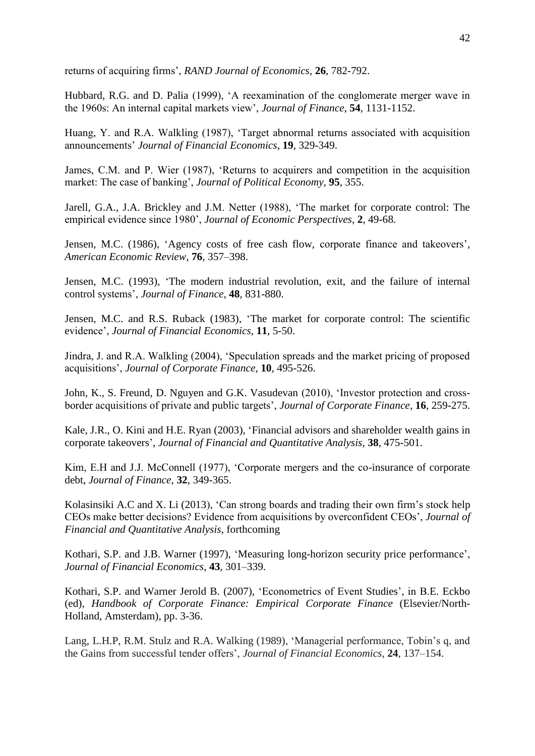returns of acquiring firms', *RAND Journal of Economics*, **26**, 782-792.

Hubbard, R.G. and D. Palia (1999), 'A reexamination of the conglomerate merger wave in the 1960s: An internal capital markets view', *Journal of Finance*, **54**, 1131-1152.

Huang, Y. and R.A. Walkling (1987), 'Target abnormal returns associated with acquisition announcements' *Journal of Financial Economics*, **19**, 329-349.

James, C.M. and P. Wier (1987), 'Returns to acquirers and competition in the acquisition market: The case of banking', *Journal of Political Economy*, **95**, 355.

Jarell, G.A., J.A. Brickley and J.M. Netter (1988), 'The market for corporate control: The empirical evidence since 1980', *Journal of Economic Perspectives*, **2**, 49-68.

Jensen, M.C. (1986), 'Agency costs of free cash flow, corporate finance and takeovers', *American Economic Review*, **76**, 357–398.

Jensen, M.C. (1993), 'The modern industrial revolution, exit, and the failure of internal control systems', *Journal of Finance*, **48**, 831-880.

Jensen, M.C. and R.S. Ruback (1983), 'The market for corporate control: The scientific evidence', *Journal of Financial Economics,* **11**, 5-50.

Jindra, J. and R.A. Walkling (2004), 'Speculation spreads and the market pricing of proposed acquisitions', *Journal of Corporate Finance*, **10**, 495-526.

John, K., S. Freund, D. Nguyen and G.K. Vasudevan (2010), 'Investor protection and crossborder acquisitions of private and public targets', *Journal of Corporate Finance*, **16**, 259-275.

Kale, J.R., O. Kini and H.E. Ryan (2003), 'Financial advisors and shareholder wealth gains in corporate takeovers', *Journal of Financial and Quantitative Analysis*, **38**, 475-501.

Kim, E.H and J.J. McConnell (1977), 'Corporate mergers and the co-insurance of corporate debt, *Journal of Finance*, **32**, 349-365.

Kolasinsiki A.C and X. Li (2013), 'Can strong boards and trading their own firm's stock help CEOs make better decisions? Evidence from acquisitions by overconfident CEOs', *Journal of Financial and Quantitative Analysis*, forthcoming

Kothari, S.P. and J.B. Warner (1997), 'Measuring long-horizon security price performance', *Journal of Financial Economics*, **43**, 301–339.

Kothari, S.P. and Warner Jerold B. (2007), 'Econometrics of Event Studies', in B.E. Eckbo (ed), *Handbook of Corporate Finance: Empirical Corporate Finance* (Elsevier/North-Holland, Amsterdam), pp. 3-36.

Lang, L.H.P, R.M. Stulz and R.A. Walking (1989), 'Managerial performance, Tobin's q, and the Gains from successful tender offers', *Journal of Financial Economics*, **24**, 137–154.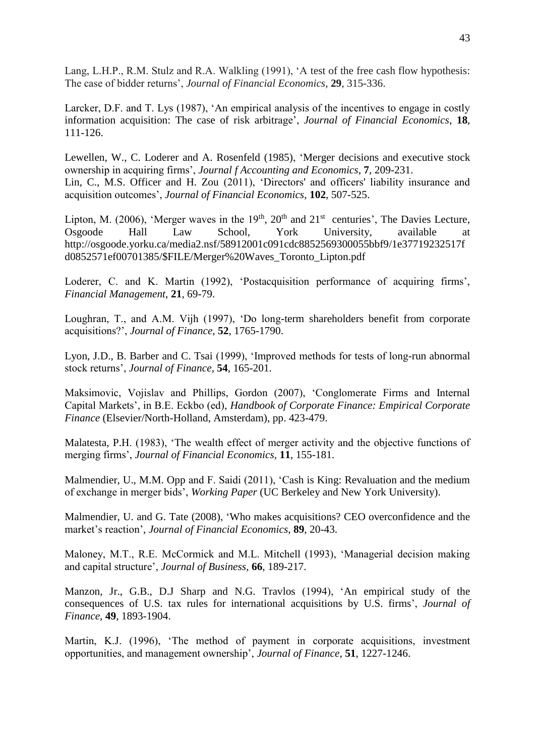Lang, L.H.P., R.M. Stulz and R.A. Walkling (1991), 'A test of the free cash flow hypothesis: The case of bidder returns', *Journal of Financial Economics*, **29**, 315-336.

Larcker, D.F. and T. Lys (1987), 'An empirical analysis of the incentives to engage in costly information acquisition: The case of risk arbitrage', *Journal of Financial Economics*, **18**, 111-126.

Lewellen, W., C. Loderer and A. Rosenfeld (1985), 'Merger decisions and executive stock ownership in acquiring firms', *Journal f Accounting and Economics*, **7**, 209-231. Lin, C., M.S. Officer and H. Zou (2011), 'Directors' and officers' liability insurance and acquisition outcomes', *Journal of Financial Economics*, **102**, 507-525.

Lipton, M. (2006), 'Merger waves in the  $19<sup>th</sup>$ ,  $20<sup>th</sup>$  and  $21<sup>st</sup>$  centuries', The Davies Lecture, Osgoode Hall Law School, York University, available at [http://osgoode.yorku.ca/media2.nsf/58912001c091cdc8852569300055bbf9/1e37719232517f](http://osgoode.yorku.ca/media2.nsf/58912001c091cdc8852569300055bbf9/1e37719232517fd0852571ef00701385/$FILE/Merger%20Waves_Toronto_Lipton.pdf) [d0852571ef00701385/\\$FILE/Merger%20Waves\\_Toronto\\_Lipton.pdf](http://osgoode.yorku.ca/media2.nsf/58912001c091cdc8852569300055bbf9/1e37719232517fd0852571ef00701385/$FILE/Merger%20Waves_Toronto_Lipton.pdf) 

Loderer, C. and K. Martin (1992), 'Postacquisition performance of acquiring firms', *Financial Management*, **21**, 69-79.

Loughran, T., and A.M. Vijh (1997), 'Do long-term shareholders benefit from corporate acquisitions?', *Journal of Finance*, **52**, 1765-1790.

Lyon, J.D., B. Barber and C. Tsai (1999), 'Improved methods for tests of long-run abnormal stock returns', *Journal of Finance*, **54**, 165-201.

Maksimovic, Vojislav and Phillips, Gordon (2007), 'Conglomerate Firms and Internal Capital Markets', in B.E. Eckbo (ed), *Handbook of Corporate Finance: Empirical Corporate Finance* (Elsevier/North-Holland, Amsterdam), pp. 423-479.

Malatesta, P.H. (1983), 'The wealth effect of merger activity and the objective functions of merging firms', *Journal of Financial Economics,* **11**, 155-181.

Malmendier, U., M.M. Opp and F. Saidi (2011), 'Cash is King: Revaluation and the medium of exchange in merger bids', *Working Paper* (UC Berkeley and New York University).

Malmendier, U. and G. Tate (2008), 'Who makes acquisitions? CEO overconfidence and the market's reaction', *Journal of Financial Economics*, **89**, 20-43.

Maloney, M.T., R.E. McCormick and M.L. Mitchell (1993), 'Managerial decision making and capital structure', *Journal of Business*, **66**, 189-217.

Manzon, Jr., G.B., D.J Sharp and N.G. Travlos (1994), 'An empirical study of the consequences of U.S. tax rules for international acquisitions by U.S. firms', *Journal of Finance*, **49**, 1893-1904.

Martin, K.J. (1996), 'The method of payment in corporate acquisitions, investment opportunities, and management ownership', *Journal of Finance*, **51**, 1227-1246.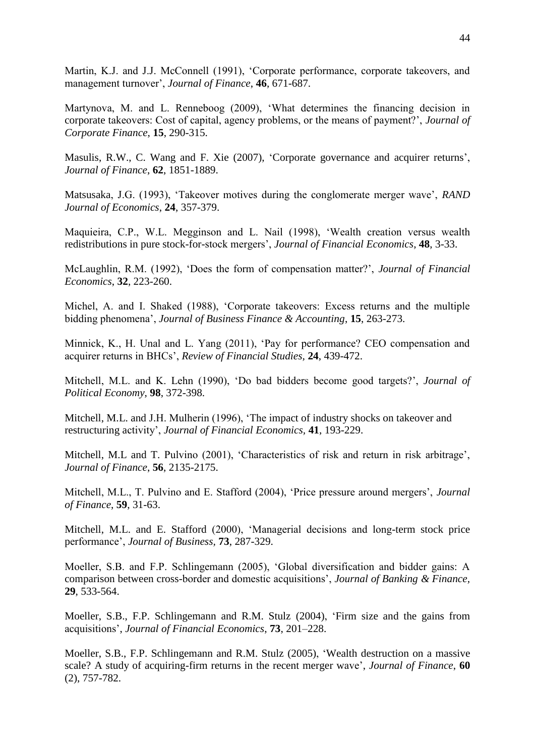Martin, K.J. and J.J. McConnell (1991), 'Corporate performance, corporate takeovers, and management turnover', *Journal of Finance*, **46**, 671-687.

Martynova, M. and L. Renneboog (2009), 'What determines the financing decision in corporate takeovers: Cost of capital, agency problems, or the means of payment?', *Journal of Corporate Finance*, **15**, 290-315.

Masulis, R.W., C. Wang and F. Xie (2007), 'Corporate governance and acquirer returns', *Journal of Finance*, **62**, 1851-1889.

Matsusaka, J.G. (1993), 'Takeover motives during the conglomerate merger wave', *RAND Journal of Economics*, **24**, 357-379.

Maquieira, C.P., W.L. Megginson and L. Nail (1998), 'Wealth creation versus wealth redistributions in pure stock-for-stock mergers', *Journal of Financial Economics*, **48**, 3-33.

McLaughlin, R.M. (1992), 'Does the form of compensation matter?', *Journal of Financial Economics*, **32**, 223-260.

Michel, A. and I. Shaked (1988), 'Corporate takeovers: Excess returns and the multiple bidding phenomena', *Journal of Business Finance & Accounting*, **15**, 263-273.

Minnick, K., H. Unal and L. Yang (2011), 'Pay for performance? CEO compensation and acquirer returns in BHCs', *Review of Financial Studies,* **24**, 439-472.

Mitchell, M.L. and K. Lehn (1990), 'Do bad bidders become good targets?', *Journal of Political Economy*, **98**, 372-398.

Mitchell, M.L. and J.H. Mulherin (1996), 'The impact of industry shocks on takeover and restructuring activity', *Journal of Financial Economics,* **41**, 193-229.

Mitchell, M.L and T. Pulvino (2001), 'Characteristics of risk and return in risk arbitrage', *Journal of Finance*, **56**, 2135-2175.

Mitchell, M.L., T. Pulvino and E. Stafford (2004), 'Price pressure around mergers', *Journal of Finance*, **59**, 31-63.

Mitchell, M.L. and E. Stafford (2000), 'Managerial decisions and long-term stock price performance', *Journal of Business,* **73**, 287-329.

Moeller, S.B. and F.P. Schlingemann (2005), 'Global diversification and bidder gains: A comparison between cross-border and domestic acquisitions', *Journal of Banking & Finance,* **29**, 533-564.

Moeller, S.B., F.P. Schlingemann and R.M. Stulz (2004), 'Firm size and the gains from acquisitions', *Journal of Financial Economics*, **73**, 201–228.

Moeller, S.B., F.P. Schlingemann and R.M. Stulz (2005), 'Wealth destruction on a massive scale? A study of acquiring-firm returns in the recent merger wave', *Journal of Finance*, **60** (2), 757-782.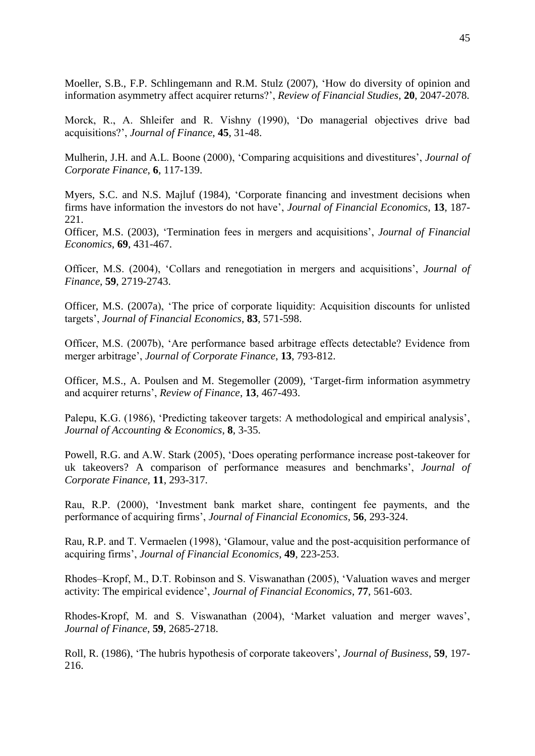Moeller, S.B., F.P. Schlingemann and R.M. Stulz (2007), 'How do diversity of opinion and information asymmetry affect acquirer returns?', *Review of Financial Studies*, **20**, 2047-2078.

Morck, R., A. Shleifer and R. Vishny (1990), 'Do managerial objectives drive bad acquisitions?', *Journal of Finance*, **45**, 31-48.

Mulherin, J.H. and A.L. Boone (2000), 'Comparing acquisitions and divestitures', *Journal of Corporate Finance*, **6**, 117-139.

Myers, S.C. and N.S. Majluf (1984), 'Corporate financing and investment decisions when firms have information the investors do not have', *Journal of Financial Economics*, **13**, 187- 221.

Officer, M.S. (2003), 'Termination fees in mergers and acquisitions', *Journal of Financial Economics*, **69**, 431-467.

Officer, M.S. (2004), 'Collars and renegotiation in mergers and acquisitions', *Journal of Finance*, **59**, 2719-2743.

Officer, M.S. (2007a), 'The price of corporate liquidity: Acquisition discounts for unlisted targets', *Journal of Financial Economics*, **83**, 571-598.

Officer, M.S. (2007b), 'Are performance based arbitrage effects detectable? Evidence from merger arbitrage', *Journal of Corporate Finance*, **13**, 793-812.

Officer, M.S., A. Poulsen and M. Stegemoller (2009), 'Target-firm information asymmetry and acquirer returns', *Review of Finance*, **13**, 467-493.

Palepu, K.G. (1986), 'Predicting takeover targets: A methodological and empirical analysis', *Journal of Accounting & Economics*, **8**, 3-35.

Powell, R.G. and A.W. Stark (2005), 'Does operating performance increase post-takeover for uk takeovers? A comparison of performance measures and benchmarks', *Journal of Corporate Finance,* **11**, 293-317.

Rau, R.P. (2000), 'Investment bank market share, contingent fee payments, and the performance of acquiring firms', *Journal of Financial Economics*, **56**, 293-324.

Rau, R.P. and T. Vermaelen (1998), 'Glamour, value and the post-acquisition performance of acquiring firms', *Journal of Financial Economics*, **49**, 223-253.

Rhodes–Kropf, M., D.T. Robinson and S. Viswanathan (2005), 'Valuation waves and merger activity: The empirical evidence', *Journal of Financial Economics*, **77**, 561-603.

Rhodes-Kropf, M. and S. Viswanathan (2004), 'Market valuation and merger waves', *Journal of Finance*, **59**, 2685-2718.

Roll, R. (1986), 'The hubris hypothesis of corporate takeovers', *Journal of Business*, **59**, 197- 216.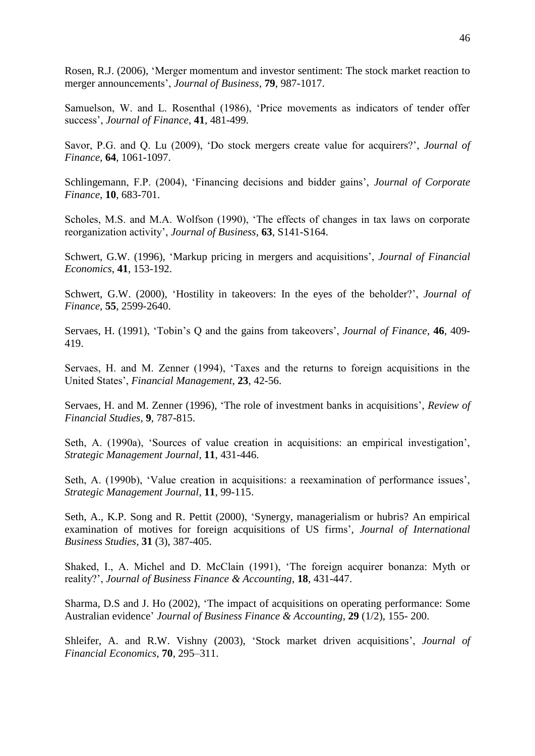Rosen, R.J. (2006), 'Merger momentum and investor sentiment: The stock market reaction to merger announcements', *Journal of Business*, **79**, 987-1017.

Samuelson, W. and L. Rosenthal (1986), 'Price movements as indicators of tender offer success', *Journal of Finance*, **41**, 481-499.

Savor, P.G. and Q. Lu (2009), 'Do stock mergers create value for acquirers?', *Journal of Finance*, **64**, 1061-1097.

Schlingemann, F.P. (2004), 'Financing decisions and bidder gains', *Journal of Corporate Finance*, **10**, 683-701.

Scholes, M.S. and M.A. Wolfson (1990), 'The effects of changes in tax laws on corporate reorganization activity', *Journal of Business*, **63**, S141-S164.

Schwert, G.W. (1996), 'Markup pricing in mergers and acquisitions', *Journal of Financial Economics*, **41**, 153-192.

Schwert, G.W. (2000), 'Hostility in takeovers: In the eyes of the beholder?', *Journal of Finance*, **55**, 2599-2640.

Servaes, H. (1991), 'Tobin's Q and the gains from takeovers', *Journal of Finance*, **46**, 409- 419.

Servaes, H. and M. Zenner (1994), 'Taxes and the returns to foreign acquisitions in the United States', *Financial Management*, **23**, 42-56.

Servaes, H. and M. Zenner (1996), 'The role of investment banks in acquisitions', *Review of Financial Studies,* **9**, 787-815.

Seth, A. (1990a), 'Sources of value creation in acquisitions: an empirical investigation', *Strategic Management Journal*, **11**, 431-446.

Seth, A. (1990b), 'Value creation in acquisitions: a reexamination of performance issues', *Strategic Management Journal*, **11**, 99-115.

Seth, A., K.P. Song and R. Pettit (2000), 'Synergy, managerialism or hubris? An empirical examination of motives for foreign acquisitions of US firms', *Journal of International Business Studies*, **31** (3), 387-405.

Shaked, I., A. Michel and D. McClain (1991), 'The foreign acquirer bonanza: Myth or reality?', *Journal of Business Finance & Accounting*, **18**, 431-447.

Sharma, D.S and J. Ho (2002), 'The impact of acquisitions on operating performance: Some Australian evidence' *Journal of Business Finance & Accounting*, **29** (1/2), 155- 200.

Shleifer, A. and R.W. Vishny (2003), 'Stock market driven acquisitions', *Journal of Financial Economics*, **70**, 295–311.